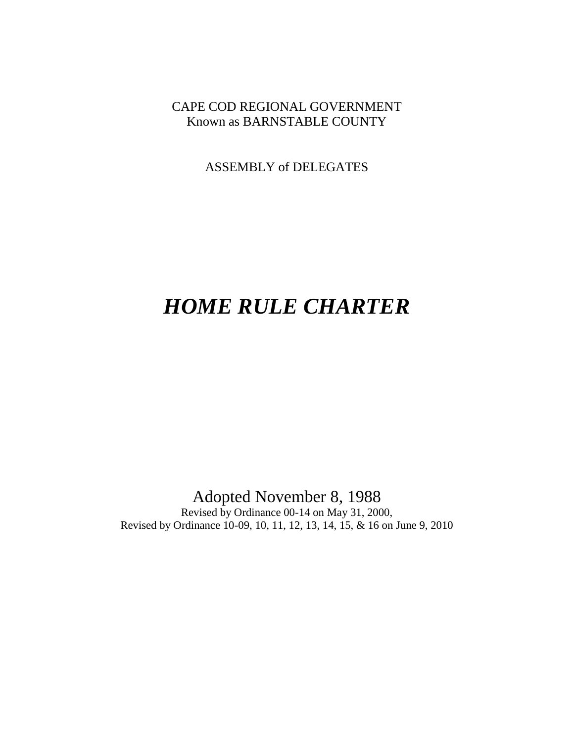## CAPE COD REGIONAL GOVERNMENT Known as BARNSTABLE COUNTY

ASSEMBLY of DELEGATES

# *HOME RULE CHARTER*

## Adopted November 8, 1988

Revised by Ordinance 00-14 on May 31, 2000, Revised by Ordinance 10-09, 10, 11, 12, 13, 14, 15, & 16 on June 9, 2010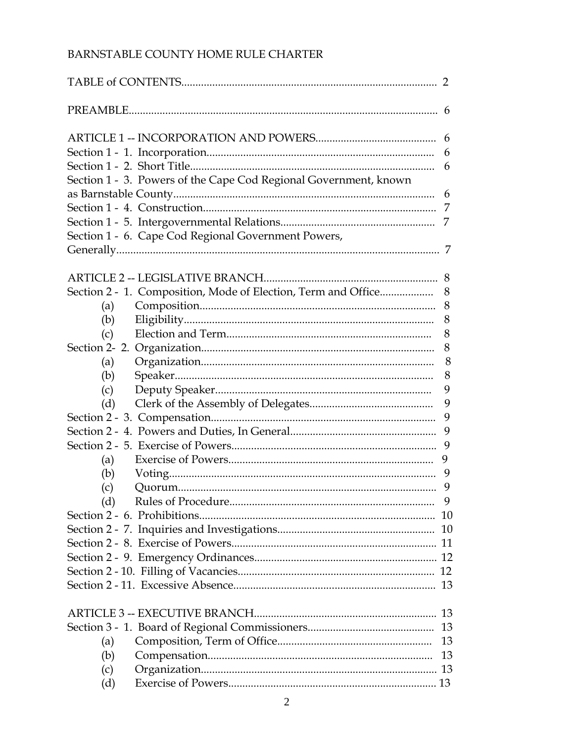## BARNSTABLE COUNTY HOME RULE CHARTER

|     |                                                                  | 2   |
|-----|------------------------------------------------------------------|-----|
|     |                                                                  |     |
|     |                                                                  | 6   |
|     |                                                                  | 6   |
|     |                                                                  | 6   |
|     | Section 1 - 3. Powers of the Cape Cod Regional Government, known |     |
|     |                                                                  | 6   |
|     |                                                                  | 7   |
|     |                                                                  | 7   |
|     |                                                                  |     |
|     | Section 1 - 6. Cape Cod Regional Government Powers,              |     |
|     |                                                                  | 7   |
|     |                                                                  |     |
|     |                                                                  |     |
|     | Section 2 - 1. Composition, Mode of Election, Term and Office    | 8   |
| (a) |                                                                  | 8   |
| (b) |                                                                  | 8   |
| (c) |                                                                  | 8   |
|     |                                                                  | 8   |
| (a) |                                                                  | 8   |
| (b) |                                                                  | 8   |
| (c) |                                                                  | 9   |
| (d) |                                                                  | 9   |
|     |                                                                  | 9   |
|     |                                                                  | 9   |
|     |                                                                  |     |
| (a) |                                                                  | 9   |
| (b) |                                                                  | - 9 |
|     |                                                                  | 9   |
| (c) |                                                                  |     |
| (d) |                                                                  |     |
|     |                                                                  |     |
|     |                                                                  |     |
|     |                                                                  |     |
|     |                                                                  |     |
|     |                                                                  |     |
|     |                                                                  |     |
|     |                                                                  |     |
|     |                                                                  |     |
|     |                                                                  |     |
| (a) |                                                                  | 13  |
| (b) |                                                                  | 13  |
| (c) |                                                                  |     |
| (d) |                                                                  |     |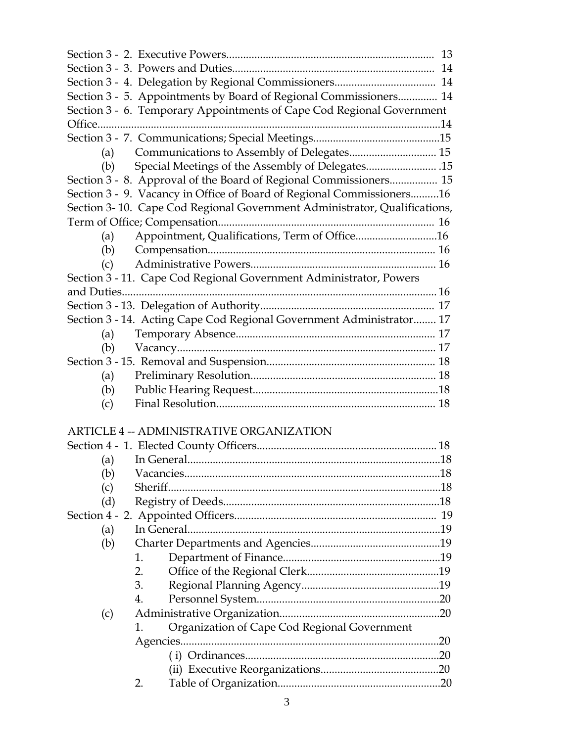|     | Section 3 - 5. Appointments by Board of Regional Commissioners 14         |  |
|-----|---------------------------------------------------------------------------|--|
|     | Section 3 - 6. Temporary Appointments of Cape Cod Regional Government     |  |
|     |                                                                           |  |
|     |                                                                           |  |
|     |                                                                           |  |
| (b) |                                                                           |  |
|     | Section 3 - 8. Approval of the Board of Regional Commissioners 15         |  |
|     | Section 3 - 9. Vacancy in Office of Board of Regional Commissioners16     |  |
|     | Section 3-10. Cape Cod Regional Government Administrator, Qualifications, |  |
|     |                                                                           |  |
| (a) | Appointment, Qualifications, Term of Office16                             |  |
|     |                                                                           |  |
| (c) |                                                                           |  |
|     | Section 3 - 11. Cape Cod Regional Government Administrator, Powers        |  |
|     |                                                                           |  |
|     |                                                                           |  |
|     | Section 3 - 14. Acting Cape Cod Regional Government Administrator 17      |  |
| (a) |                                                                           |  |
|     |                                                                           |  |
|     |                                                                           |  |
| (a) |                                                                           |  |
| (b) |                                                                           |  |
| (c) |                                                                           |  |
|     |                                                                           |  |
|     | <b>ARTICLE 4 -- ADMINISTRATIVE ORGANIZATION</b>                           |  |
|     |                                                                           |  |
|     |                                                                           |  |
| (b) |                                                                           |  |
| (c) |                                                                           |  |
| (d) |                                                                           |  |
|     |                                                                           |  |
| (a) | In General                                                                |  |
| (b) |                                                                           |  |
|     | 1.                                                                        |  |
|     | 2.                                                                        |  |
|     | 3.                                                                        |  |
|     | $\mathbf{4}_{\cdot}$                                                      |  |
| (c) |                                                                           |  |
|     | Organization of Cape Cod Regional Government<br>1.                        |  |
|     |                                                                           |  |
|     |                                                                           |  |
|     |                                                                           |  |
|     | 2.                                                                        |  |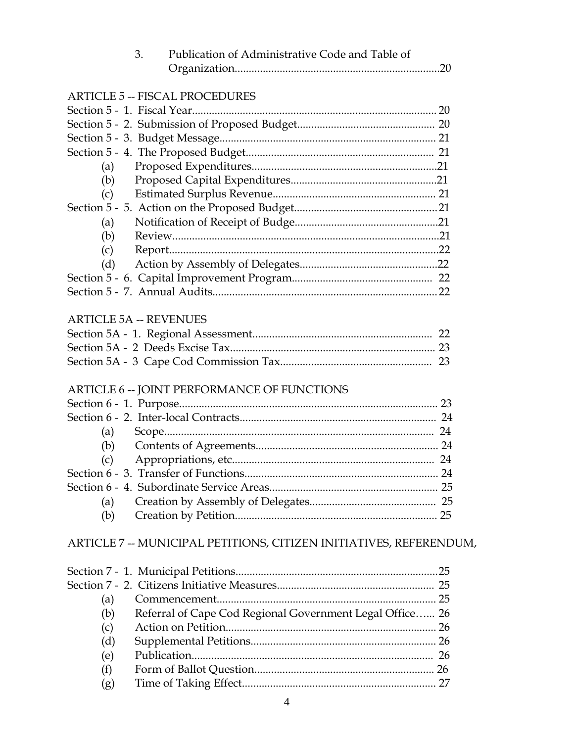|     | Publication of Administrative Code and Table of<br>3.              |  |
|-----|--------------------------------------------------------------------|--|
|     |                                                                    |  |
|     | <b>ARTICLE 5 -- FISCAL PROCEDURES</b>                              |  |
|     |                                                                    |  |
|     |                                                                    |  |
|     |                                                                    |  |
|     |                                                                    |  |
| (a) |                                                                    |  |
| (b) |                                                                    |  |
| (c) |                                                                    |  |
|     |                                                                    |  |
| (a) |                                                                    |  |
| (b) |                                                                    |  |
| (c) |                                                                    |  |
| (d) |                                                                    |  |
|     |                                                                    |  |
|     |                                                                    |  |
|     |                                                                    |  |
|     | <b>ARTICLE 5A -- REVENUES</b>                                      |  |
|     |                                                                    |  |
|     |                                                                    |  |
|     |                                                                    |  |
|     |                                                                    |  |
|     | <b>ARTICLE 6 -- JOINT PERFORMANCE OF FUNCTIONS</b>                 |  |
|     |                                                                    |  |
|     |                                                                    |  |
| (a) |                                                                    |  |
|     |                                                                    |  |
| (c) |                                                                    |  |
|     |                                                                    |  |
|     |                                                                    |  |
| (a) |                                                                    |  |
| (b) |                                                                    |  |
|     | ARTICLE 7 -- MUNICIPAL PETITIONS, CITIZEN INITIATIVES, REFERENDUM, |  |
|     |                                                                    |  |
|     |                                                                    |  |
|     |                                                                    |  |
| (a) |                                                                    |  |
| (b) | Referral of Cape Cod Regional Government Legal Office 26           |  |
| (c) |                                                                    |  |
| (d) |                                                                    |  |
| (e) |                                                                    |  |
| (f) |                                                                    |  |

(g) Time of Taking Effect..................................................................... 27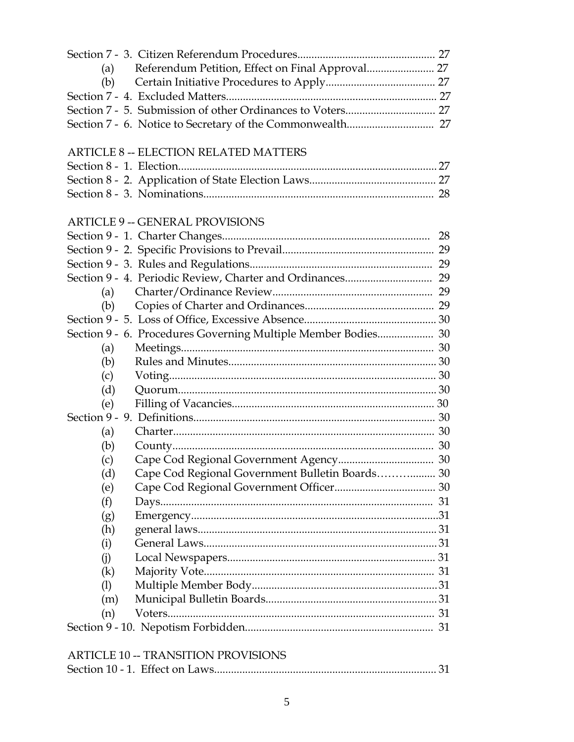| Referendum Petition, Effect on Final Approval 27<br>(a)       |  |
|---------------------------------------------------------------|--|
| (b)                                                           |  |
|                                                               |  |
|                                                               |  |
|                                                               |  |
|                                                               |  |
| <b>ARTICLE 8 -- ELECTION RELATED MATTERS</b>                  |  |
|                                                               |  |
|                                                               |  |
|                                                               |  |
|                                                               |  |
| <b>ARTICLE 9 -- GENERAL PROVISIONS</b>                        |  |
|                                                               |  |
|                                                               |  |
|                                                               |  |
|                                                               |  |
| (a)                                                           |  |
| (b)                                                           |  |
|                                                               |  |
| Section 9 - 6. Procedures Governing Multiple Member Bodies 30 |  |
| (a)                                                           |  |
| (b)                                                           |  |
| (c)                                                           |  |
| (d)                                                           |  |
| (e)                                                           |  |
|                                                               |  |
| (a)                                                           |  |
| (b)                                                           |  |
| (c)                                                           |  |
| Cape Cod Regional Government Bulletin Boards 30<br>(d)        |  |
| (e)                                                           |  |
| (f)                                                           |  |
| (g)                                                           |  |
| (h)                                                           |  |
| (i)                                                           |  |
| (i)                                                           |  |
| (k)                                                           |  |
| (1)                                                           |  |
| (m)                                                           |  |
| (n)                                                           |  |
|                                                               |  |
|                                                               |  |
| <b>ARTICLE 10 -- TRANSITION PROVISIONS</b>                    |  |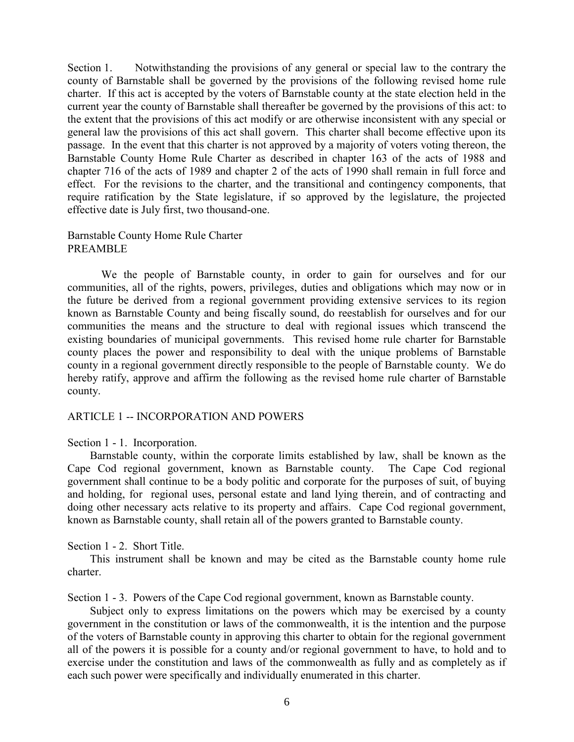Section 1. Notwithstanding the provisions of any general or special law to the contrary the county of Barnstable shall be governed by the provisions of the following revised home rule charter. If this act is accepted by the voters of Barnstable county at the state election held in the current year the county of Barnstable shall thereafter be governed by the provisions of this act: to the extent that the provisions of this act modify or are otherwise inconsistent with any special or general law the provisions of this act shall govern. This charter shall become effective upon its passage. In the event that this charter is not approved by a majority of voters voting thereon, the Barnstable County Home Rule Charter as described in chapter 163 of the acts of 1988 and chapter 716 of the acts of 1989 and chapter 2 of the acts of 1990 shall remain in full force and effect. For the revisions to the charter, and the transitional and contingency components, that require ratification by the State legislature, if so approved by the legislature, the projected effective date is July first, two thousand-one.

#### Barnstable County Home Rule Charter PREAMBLE

We the people of Barnstable county, in order to gain for ourselves and for our communities, all of the rights, powers, privileges, duties and obligations which may now or in the future be derived from a regional government providing extensive services to its region known as Barnstable County and being fiscally sound, do reestablish for ourselves and for our communities the means and the structure to deal with regional issues which transcend the existing boundaries of municipal governments. This revised home rule charter for Barnstable county places the power and responsibility to deal with the unique problems of Barnstable county in a regional government directly responsible to the people of Barnstable county. We do hereby ratify, approve and affirm the following as the revised home rule charter of Barnstable county.

#### ARTICLE 1 -- INCORPORATION AND POWERS

Section 1 - 1. Incorporation.

 Barnstable county, within the corporate limits established by law, shall be known as the Cape Cod regional government, known as Barnstable county. The Cape Cod regional government shall continue to be a body politic and corporate for the purposes of suit, of buying and holding, for regional uses, personal estate and land lying therein, and of contracting and doing other necessary acts relative to its property and affairs. Cape Cod regional government, known as Barnstable county, shall retain all of the powers granted to Barnstable county.

Section 1 - 2. Short Title.

 This instrument shall be known and may be cited as the Barnstable county home rule charter.

Section 1 - 3. Powers of the Cape Cod regional government, known as Barnstable county.

 Subject only to express limitations on the powers which may be exercised by a county government in the constitution or laws of the commonwealth, it is the intention and the purpose of the voters of Barnstable county in approving this charter to obtain for the regional government all of the powers it is possible for a county and/or regional government to have, to hold and to exercise under the constitution and laws of the commonwealth as fully and as completely as if each such power were specifically and individually enumerated in this charter.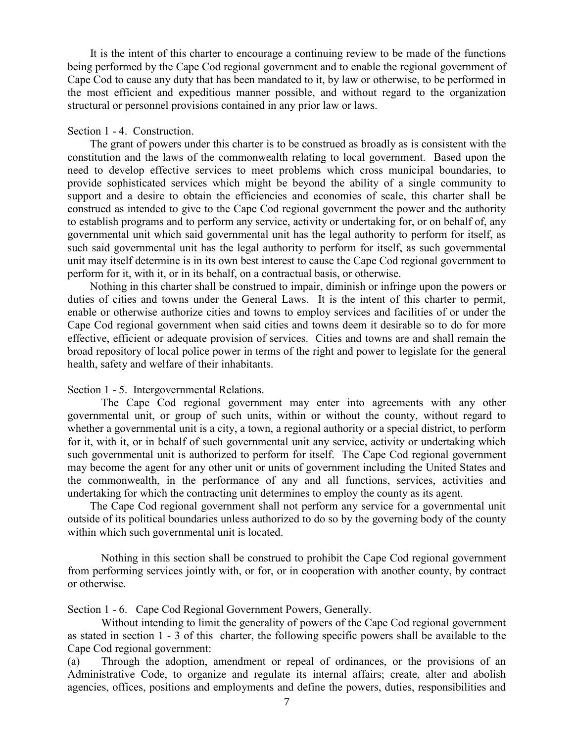It is the intent of this charter to encourage a continuing review to be made of the functions being performed by the Cape Cod regional government and to enable the regional government of Cape Cod to cause any duty that has been mandated to it, by law or otherwise, to be performed in the most efficient and expeditious manner possible, and without regard to the organization structural or personnel provisions contained in any prior law or laws.

#### Section 1 - 4. Construction.

 The grant of powers under this charter is to be construed as broadly as is consistent with the constitution and the laws of the commonwealth relating to local government. Based upon the need to develop effective services to meet problems which cross municipal boundaries, to provide sophisticated services which might be beyond the ability of a single community to support and a desire to obtain the efficiencies and economies of scale, this charter shall be construed as intended to give to the Cape Cod regional government the power and the authority to establish programs and to perform any service, activity or undertaking for, or on behalf of, any governmental unit which said governmental unit has the legal authority to perform for itself, as such said governmental unit has the legal authority to perform for itself, as such governmental unit may itself determine is in its own best interest to cause the Cape Cod regional government to perform for it, with it, or in its behalf, on a contractual basis, or otherwise.

 Nothing in this charter shall be construed to impair, diminish or infringe upon the powers or duties of cities and towns under the General Laws. It is the intent of this charter to permit, enable or otherwise authorize cities and towns to employ services and facilities of or under the Cape Cod regional government when said cities and towns deem it desirable so to do for more effective, efficient or adequate provision of services. Cities and towns are and shall remain the broad repository of local police power in terms of the right and power to legislate for the general health, safety and welfare of their inhabitants.

#### Section 1 - 5. Intergovernmental Relations.

The Cape Cod regional government may enter into agreements with any other governmental unit, or group of such units, within or without the county, without regard to whether a governmental unit is a city, a town, a regional authority or a special district, to perform for it, with it, or in behalf of such governmental unit any service, activity or undertaking which such governmental unit is authorized to perform for itself. The Cape Cod regional government may become the agent for any other unit or units of government including the United States and the commonwealth, in the performance of any and all functions, services, activities and undertaking for which the contracting unit determines to employ the county as its agent.

 The Cape Cod regional government shall not perform any service for a governmental unit outside of its political boundaries unless authorized to do so by the governing body of the county within which such governmental unit is located.

Nothing in this section shall be construed to prohibit the Cape Cod regional government from performing services jointly with, or for, or in cooperation with another county, by contract or otherwise.

Section 1 - 6. Cape Cod Regional Government Powers, Generally.

Without intending to limit the generality of powers of the Cape Cod regional government as stated in section 1 - 3 of this charter, the following specific powers shall be available to the Cape Cod regional government:

(a) Through the adoption, amendment or repeal of ordinances, or the provisions of an Administrative Code, to organize and regulate its internal affairs; create, alter and abolish agencies, offices, positions and employments and define the powers, duties, responsibilities and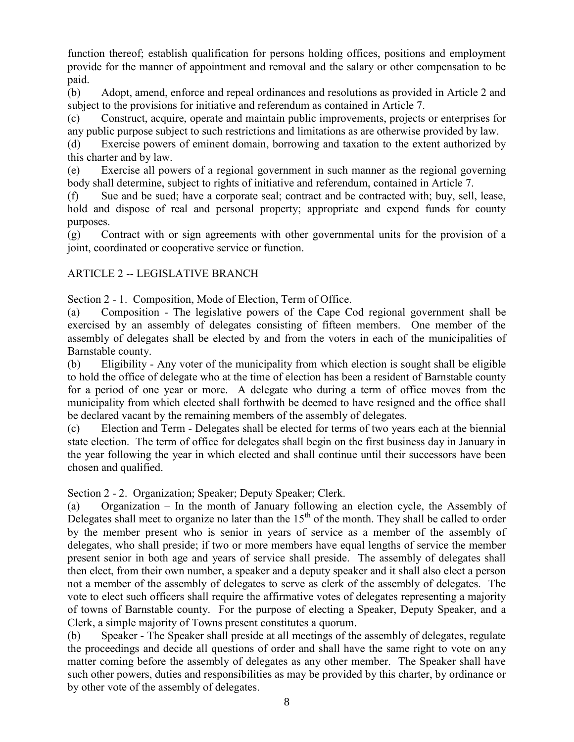function thereof; establish qualification for persons holding offices, positions and employment provide for the manner of appointment and removal and the salary or other compensation to be paid.

(b) Adopt, amend, enforce and repeal ordinances and resolutions as provided in Article 2 and subject to the provisions for initiative and referendum as contained in Article 7.

(c) Construct, acquire, operate and maintain public improvements, projects or enterprises for any public purpose subject to such restrictions and limitations as are otherwise provided by law.

(d) Exercise powers of eminent domain, borrowing and taxation to the extent authorized by this charter and by law.

(e) Exercise all powers of a regional government in such manner as the regional governing body shall determine, subject to rights of initiative and referendum, contained in Article 7.

(f) Sue and be sued; have a corporate seal; contract and be contracted with; buy, sell, lease, hold and dispose of real and personal property; appropriate and expend funds for county purposes.

(g) Contract with or sign agreements with other governmental units for the provision of a joint, coordinated or cooperative service or function.

### ARTICLE 2 -- LEGISLATIVE BRANCH

Section 2 - 1. Composition, Mode of Election, Term of Office.

(a) Composition - The legislative powers of the Cape Cod regional government shall be exercised by an assembly of delegates consisting of fifteen members. One member of the assembly of delegates shall be elected by and from the voters in each of the municipalities of Barnstable county.

(b) Eligibility - Any voter of the municipality from which election is sought shall be eligible to hold the office of delegate who at the time of election has been a resident of Barnstable county for a period of one year or more. A delegate who during a term of office moves from the municipality from which elected shall forthwith be deemed to have resigned and the office shall be declared vacant by the remaining members of the assembly of delegates.

(c) Election and Term - Delegates shall be elected for terms of two years each at the biennial state election. The term of office for delegates shall begin on the first business day in January in the year following the year in which elected and shall continue until their successors have been chosen and qualified.

Section 2 - 2. Organization; Speaker; Deputy Speaker; Clerk.

(a) Organization – In the month of January following an election cycle, the Assembly of Delegates shall meet to organize no later than the  $15<sup>th</sup>$  of the month. They shall be called to order by the member present who is senior in years of service as a member of the assembly of delegates, who shall preside; if two or more members have equal lengths of service the member present senior in both age and years of service shall preside. The assembly of delegates shall then elect, from their own number, a speaker and a deputy speaker and it shall also elect a person not a member of the assembly of delegates to serve as clerk of the assembly of delegates. The vote to elect such officers shall require the affirmative votes of delegates representing a majority of towns of Barnstable county. For the purpose of electing a Speaker, Deputy Speaker, and a Clerk, a simple majority of Towns present constitutes a quorum.

(b) Speaker - The Speaker shall preside at all meetings of the assembly of delegates, regulate the proceedings and decide all questions of order and shall have the same right to vote on any matter coming before the assembly of delegates as any other member. The Speaker shall have such other powers, duties and responsibilities as may be provided by this charter, by ordinance or by other vote of the assembly of delegates.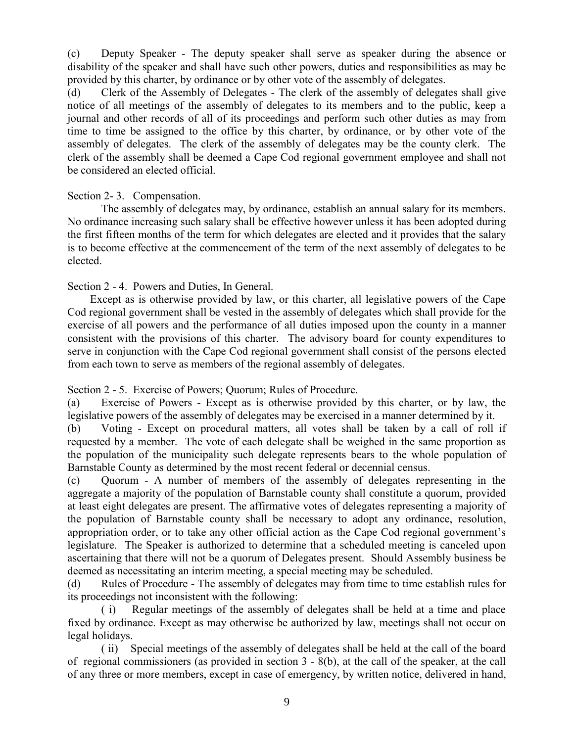(c) Deputy Speaker - The deputy speaker shall serve as speaker during the absence or disability of the speaker and shall have such other powers, duties and responsibilities as may be provided by this charter, by ordinance or by other vote of the assembly of delegates.

(d) Clerk of the Assembly of Delegates - The clerk of the assembly of delegates shall give notice of all meetings of the assembly of delegates to its members and to the public, keep a journal and other records of all of its proceedings and perform such other duties as may from time to time be assigned to the office by this charter, by ordinance, or by other vote of the assembly of delegates. The clerk of the assembly of delegates may be the county clerk. The clerk of the assembly shall be deemed a Cape Cod regional government employee and shall not be considered an elected official.

#### Section 2- 3. Compensation.

The assembly of delegates may, by ordinance, establish an annual salary for its members. No ordinance increasing such salary shall be effective however unless it has been adopted during the first fifteen months of the term for which delegates are elected and it provides that the salary is to become effective at the commencement of the term of the next assembly of delegates to be elected.

#### Section 2 - 4. Powers and Duties, In General.

 Except as is otherwise provided by law, or this charter, all legislative powers of the Cape Cod regional government shall be vested in the assembly of delegates which shall provide for the exercise of all powers and the performance of all duties imposed upon the county in a manner consistent with the provisions of this charter. The advisory board for county expenditures to serve in conjunction with the Cape Cod regional government shall consist of the persons elected from each town to serve as members of the regional assembly of delegates.

Section 2 - 5. Exercise of Powers; Quorum; Rules of Procedure.

(a) Exercise of Powers - Except as is otherwise provided by this charter, or by law, the legislative powers of the assembly of delegates may be exercised in a manner determined by it.

(b) Voting - Except on procedural matters, all votes shall be taken by a call of roll if requested by a member. The vote of each delegate shall be weighed in the same proportion as the population of the municipality such delegate represents bears to the whole population of Barnstable County as determined by the most recent federal or decennial census.

(c) Quorum - A number of members of the assembly of delegates representing in the aggregate a majority of the population of Barnstable county shall constitute a quorum, provided at least eight delegates are present. The affirmative votes of delegates representing a majority of the population of Barnstable county shall be necessary to adopt any ordinance, resolution, appropriation order, or to take any other official action as the Cape Cod regional government's legislature. The Speaker is authorized to determine that a scheduled meeting is canceled upon ascertaining that there will not be a quorum of Delegates present. Should Assembly business be deemed as necessitating an interim meeting, a special meeting may be scheduled.

(d) Rules of Procedure - The assembly of delegates may from time to time establish rules for its proceedings not inconsistent with the following:

( i) Regular meetings of the assembly of delegates shall be held at a time and place fixed by ordinance. Except as may otherwise be authorized by law, meetings shall not occur on legal holidays.

( ii) Special meetings of the assembly of delegates shall be held at the call of the board of regional commissioners (as provided in section 3 - 8(b), at the call of the speaker, at the call of any three or more members, except in case of emergency, by written notice, delivered in hand,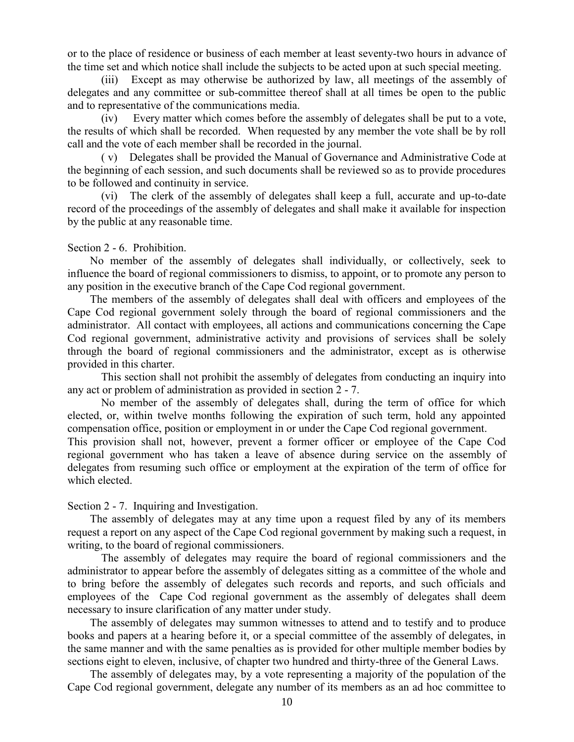or to the place of residence or business of each member at least seventy-two hours in advance of the time set and which notice shall include the subjects to be acted upon at such special meeting.

(iii) Except as may otherwise be authorized by law, all meetings of the assembly of delegates and any committee or sub-committee thereof shall at all times be open to the public and to representative of the communications media.

(iv) Every matter which comes before the assembly of delegates shall be put to a vote, the results of which shall be recorded. When requested by any member the vote shall be by roll call and the vote of each member shall be recorded in the journal.

( v) Delegates shall be provided the Manual of Governance and Administrative Code at the beginning of each session, and such documents shall be reviewed so as to provide procedures to be followed and continuity in service.

(vi) The clerk of the assembly of delegates shall keep a full, accurate and up-to-date record of the proceedings of the assembly of delegates and shall make it available for inspection by the public at any reasonable time.

#### Section 2 - 6. Prohibition.

 No member of the assembly of delegates shall individually, or collectively, seek to influence the board of regional commissioners to dismiss, to appoint, or to promote any person to any position in the executive branch of the Cape Cod regional government.

 The members of the assembly of delegates shall deal with officers and employees of the Cape Cod regional government solely through the board of regional commissioners and the administrator. All contact with employees, all actions and communications concerning the Cape Cod regional government, administrative activity and provisions of services shall be solely through the board of regional commissioners and the administrator, except as is otherwise provided in this charter.

This section shall not prohibit the assembly of delegates from conducting an inquiry into any act or problem of administration as provided in section 2 - 7.

No member of the assembly of delegates shall, during the term of office for which elected, or, within twelve months following the expiration of such term, hold any appointed compensation office, position or employment in or under the Cape Cod regional government.

This provision shall not, however, prevent a former officer or employee of the Cape Cod regional government who has taken a leave of absence during service on the assembly of delegates from resuming such office or employment at the expiration of the term of office for which elected.

#### Section 2 - 7. Inquiring and Investigation.

 The assembly of delegates may at any time upon a request filed by any of its members request a report on any aspect of the Cape Cod regional government by making such a request, in writing, to the board of regional commissioners.

The assembly of delegates may require the board of regional commissioners and the administrator to appear before the assembly of delegates sitting as a committee of the whole and to bring before the assembly of delegates such records and reports, and such officials and employees of the Cape Cod regional government as the assembly of delegates shall deem necessary to insure clarification of any matter under study.

 The assembly of delegates may summon witnesses to attend and to testify and to produce books and papers at a hearing before it, or a special committee of the assembly of delegates, in the same manner and with the same penalties as is provided for other multiple member bodies by sections eight to eleven, inclusive, of chapter two hundred and thirty-three of the General Laws.

 The assembly of delegates may, by a vote representing a majority of the population of the Cape Cod regional government, delegate any number of its members as an ad hoc committee to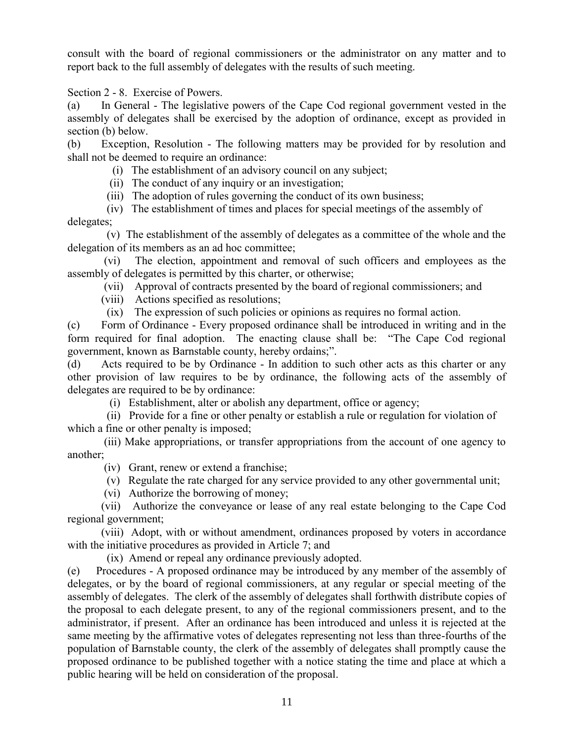consult with the board of regional commissioners or the administrator on any matter and to report back to the full assembly of delegates with the results of such meeting.

Section 2 - 8. Exercise of Powers.

(a) In General - The legislative powers of the Cape Cod regional government vested in the assembly of delegates shall be exercised by the adoption of ordinance, except as provided in section (b) below.

(b) Exception, Resolution - The following matters may be provided for by resolution and shall not be deemed to require an ordinance:

- (i) The establishment of an advisory council on any subject;
- (ii) The conduct of any inquiry or an investigation;
- (iii) The adoption of rules governing the conduct of its own business;

 (iv) The establishment of times and places for special meetings of the assembly of delegates;

 (v) The establishment of the assembly of delegates as a committee of the whole and the delegation of its members as an ad hoc committee;

(vi) The election, appointment and removal of such officers and employees as the assembly of delegates is permitted by this charter, or otherwise;

(vii) Approval of contracts presented by the board of regional commissioners; and

- (viii) Actions specified as resolutions;
- (ix) The expression of such policies or opinions as requires no formal action.

(c) Form of Ordinance - Every proposed ordinance shall be introduced in writing and in the form required for final adoption. The enacting clause shall be: "The Cape Cod regional government, known as Barnstable county, hereby ordains;".

(d) Acts required to be by Ordinance - In addition to such other acts as this charter or any other provision of law requires to be by ordinance, the following acts of the assembly of delegates are required to be by ordinance:

(i) Establishment, alter or abolish any department, office or agency;

 (ii) Provide for a fine or other penalty or establish a rule or regulation for violation of which a fine or other penalty is imposed;

(iii) Make appropriations, or transfer appropriations from the account of one agency to another;

- (iv) Grant, renew or extend a franchise;
- (v) Regulate the rate charged for any service provided to any other governmental unit;
- (vi) Authorize the borrowing of money;

(vii) Authorize the conveyance or lease of any real estate belonging to the Cape Cod regional government;

(viii) Adopt, with or without amendment, ordinances proposed by voters in accordance with the initiative procedures as provided in Article 7; and

(ix) Amend or repeal any ordinance previously adopted.

(e) Procedures - A proposed ordinance may be introduced by any member of the assembly of delegates, or by the board of regional commissioners, at any regular or special meeting of the assembly of delegates. The clerk of the assembly of delegates shall forthwith distribute copies of the proposal to each delegate present, to any of the regional commissioners present, and to the administrator, if present. After an ordinance has been introduced and unless it is rejected at the same meeting by the affirmative votes of delegates representing not less than three-fourths of the population of Barnstable county, the clerk of the assembly of delegates shall promptly cause the proposed ordinance to be published together with a notice stating the time and place at which a public hearing will be held on consideration of the proposal.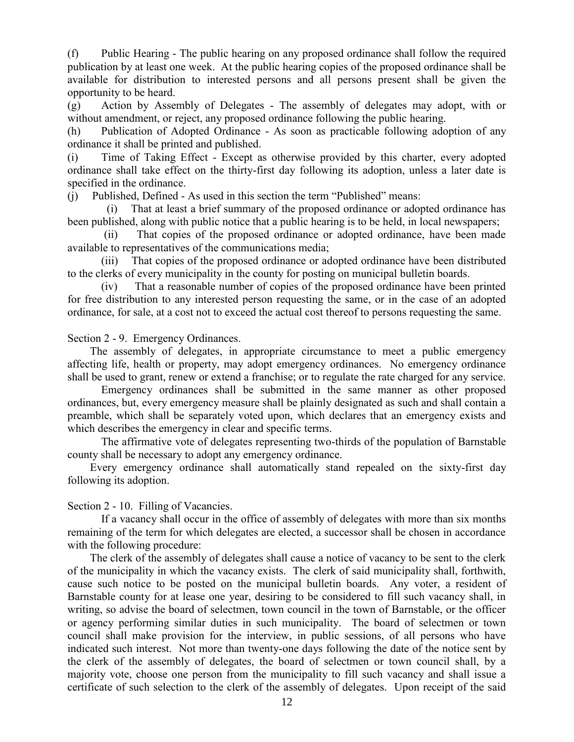(f) Public Hearing - The public hearing on any proposed ordinance shall follow the required publication by at least one week. At the public hearing copies of the proposed ordinance shall be available for distribution to interested persons and all persons present shall be given the opportunity to be heard.

(g) Action by Assembly of Delegates - The assembly of delegates may adopt, with or without amendment, or reject, any proposed ordinance following the public hearing.

(h) Publication of Adopted Ordinance - As soon as practicable following adoption of any ordinance it shall be printed and published.

(i) Time of Taking Effect - Except as otherwise provided by this charter, every adopted ordinance shall take effect on the thirty-first day following its adoption, unless a later date is specified in the ordinance.

(j) Published, Defined - As used in this section the term "Published" means:

 (i) That at least a brief summary of the proposed ordinance or adopted ordinance has been published, along with public notice that a public hearing is to be held, in local newspapers;

(ii) That copies of the proposed ordinance or adopted ordinance, have been made available to representatives of the communications media;

(iii) That copies of the proposed ordinance or adopted ordinance have been distributed to the clerks of every municipality in the county for posting on municipal bulletin boards.

(iv) That a reasonable number of copies of the proposed ordinance have been printed for free distribution to any interested person requesting the same, or in the case of an adopted ordinance, for sale, at a cost not to exceed the actual cost thereof to persons requesting the same.

Section 2 - 9. Emergency Ordinances.

 The assembly of delegates, in appropriate circumstance to meet a public emergency affecting life, health or property, may adopt emergency ordinances. No emergency ordinance shall be used to grant, renew or extend a franchise; or to regulate the rate charged for any service.

Emergency ordinances shall be submitted in the same manner as other proposed ordinances, but, every emergency measure shall be plainly designated as such and shall contain a preamble, which shall be separately voted upon, which declares that an emergency exists and which describes the emergency in clear and specific terms.

The affirmative vote of delegates representing two-thirds of the population of Barnstable county shall be necessary to adopt any emergency ordinance.

 Every emergency ordinance shall automatically stand repealed on the sixty-first day following its adoption.

Section 2 - 10. Filling of Vacancies.

If a vacancy shall occur in the office of assembly of delegates with more than six months remaining of the term for which delegates are elected, a successor shall be chosen in accordance with the following procedure:

 The clerk of the assembly of delegates shall cause a notice of vacancy to be sent to the clerk of the municipality in which the vacancy exists. The clerk of said municipality shall, forthwith, cause such notice to be posted on the municipal bulletin boards. Any voter, a resident of Barnstable county for at lease one year, desiring to be considered to fill such vacancy shall, in writing, so advise the board of selectmen, town council in the town of Barnstable, or the officer or agency performing similar duties in such municipality. The board of selectmen or town council shall make provision for the interview, in public sessions, of all persons who have indicated such interest. Not more than twenty-one days following the date of the notice sent by the clerk of the assembly of delegates, the board of selectmen or town council shall, by a majority vote, choose one person from the municipality to fill such vacancy and shall issue a certificate of such selection to the clerk of the assembly of delegates. Upon receipt of the said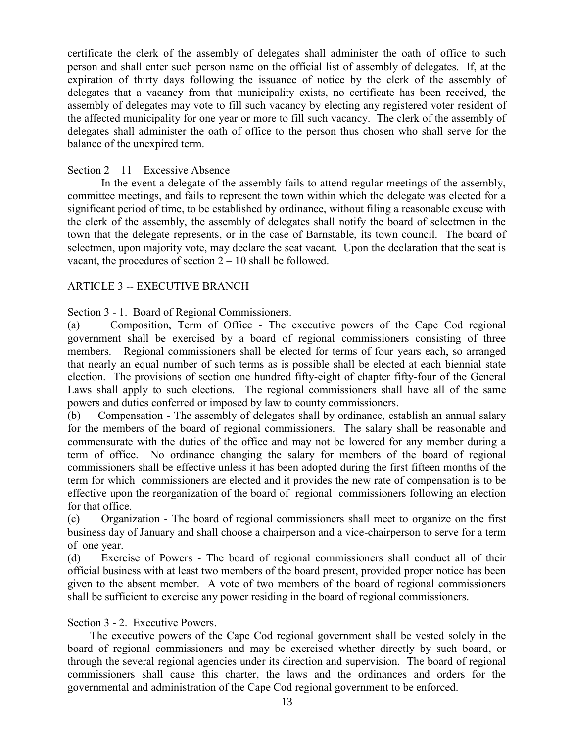certificate the clerk of the assembly of delegates shall administer the oath of office to such person and shall enter such person name on the official list of assembly of delegates. If, at the expiration of thirty days following the issuance of notice by the clerk of the assembly of delegates that a vacancy from that municipality exists, no certificate has been received, the assembly of delegates may vote to fill such vacancy by electing any registered voter resident of the affected municipality for one year or more to fill such vacancy. The clerk of the assembly of delegates shall administer the oath of office to the person thus chosen who shall serve for the balance of the unexpired term.

#### Section 2 – 11 – Excessive Absence

In the event a delegate of the assembly fails to attend regular meetings of the assembly, committee meetings, and fails to represent the town within which the delegate was elected for a significant period of time, to be established by ordinance, without filing a reasonable excuse with the clerk of the assembly, the assembly of delegates shall notify the board of selectmen in the town that the delegate represents, or in the case of Barnstable, its town council. The board of selectmen, upon majority vote, may declare the seat vacant. Upon the declaration that the seat is vacant, the procedures of section  $2 - 10$  shall be followed.

#### ARTICLE 3 -- EXECUTIVE BRANCH

#### Section 3 - 1. Board of Regional Commissioners.

(a) Composition, Term of Office - The executive powers of the Cape Cod regional government shall be exercised by a board of regional commissioners consisting of three members. Regional commissioners shall be elected for terms of four years each, so arranged that nearly an equal number of such terms as is possible shall be elected at each biennial state election. The provisions of section one hundred fifty-eight of chapter fifty-four of the General Laws shall apply to such elections. The regional commissioners shall have all of the same powers and duties conferred or imposed by law to county commissioners.

(b) Compensation - The assembly of delegates shall by ordinance, establish an annual salary for the members of the board of regional commissioners. The salary shall be reasonable and commensurate with the duties of the office and may not be lowered for any member during a term of office. No ordinance changing the salary for members of the board of regional commissioners shall be effective unless it has been adopted during the first fifteen months of the term for which commissioners are elected and it provides the new rate of compensation is to be effective upon the reorganization of the board of regional commissioners following an election for that office.

(c) Organization - The board of regional commissioners shall meet to organize on the first business day of January and shall choose a chairperson and a vice-chairperson to serve for a term of one year.

(d) Exercise of Powers - The board of regional commissioners shall conduct all of their official business with at least two members of the board present, provided proper notice has been given to the absent member. A vote of two members of the board of regional commissioners shall be sufficient to exercise any power residing in the board of regional commissioners.

#### Section 3 - 2. Executive Powers.

 The executive powers of the Cape Cod regional government shall be vested solely in the board of regional commissioners and may be exercised whether directly by such board, or through the several regional agencies under its direction and supervision. The board of regional commissioners shall cause this charter, the laws and the ordinances and orders for the governmental and administration of the Cape Cod regional government to be enforced.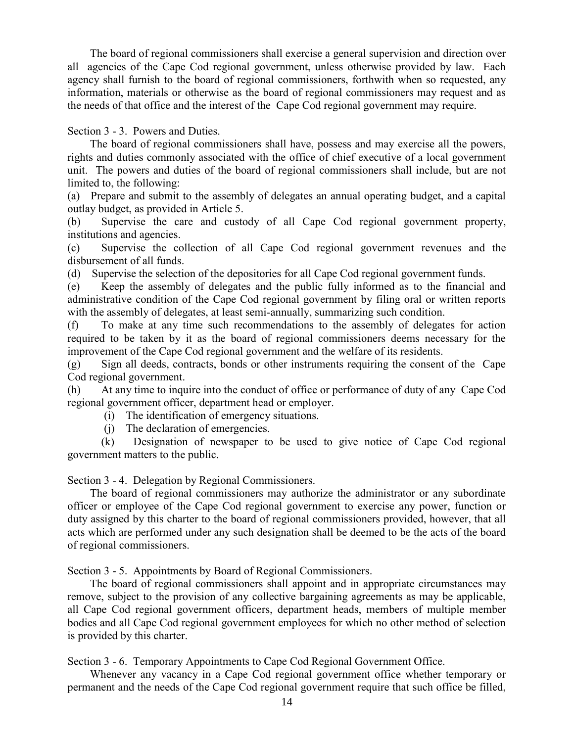The board of regional commissioners shall exercise a general supervision and direction over all agencies of the Cape Cod regional government, unless otherwise provided by law. Each agency shall furnish to the board of regional commissioners, forthwith when so requested, any information, materials or otherwise as the board of regional commissioners may request and as the needs of that office and the interest of the Cape Cod regional government may require.

Section 3 - 3. Powers and Duties.

 The board of regional commissioners shall have, possess and may exercise all the powers, rights and duties commonly associated with the office of chief executive of a local government unit. The powers and duties of the board of regional commissioners shall include, but are not limited to, the following:

(a) Prepare and submit to the assembly of delegates an annual operating budget, and a capital outlay budget, as provided in Article 5.

(b) Supervise the care and custody of all Cape Cod regional government property, institutions and agencies.

(c) Supervise the collection of all Cape Cod regional government revenues and the disbursement of all funds.

(d) Supervise the selection of the depositories for all Cape Cod regional government funds.

(e) Keep the assembly of delegates and the public fully informed as to the financial and administrative condition of the Cape Cod regional government by filing oral or written reports with the assembly of delegates, at least semi-annually, summarizing such condition.

(f) To make at any time such recommendations to the assembly of delegates for action required to be taken by it as the board of regional commissioners deems necessary for the improvement of the Cape Cod regional government and the welfare of its residents.

(g) Sign all deeds, contracts, bonds or other instruments requiring the consent of the Cape Cod regional government.

(h) At any time to inquire into the conduct of office or performance of duty of any Cape Cod regional government officer, department head or employer.

(i) The identification of emergency situations.

(j) The declaration of emergencies.

(k) Designation of newspaper to be used to give notice of Cape Cod regional government matters to the public.

Section 3 - 4. Delegation by Regional Commissioners.

 The board of regional commissioners may authorize the administrator or any subordinate officer or employee of the Cape Cod regional government to exercise any power, function or duty assigned by this charter to the board of regional commissioners provided, however, that all acts which are performed under any such designation shall be deemed to be the acts of the board of regional commissioners.

Section 3 - 5. Appointments by Board of Regional Commissioners.

 The board of regional commissioners shall appoint and in appropriate circumstances may remove, subject to the provision of any collective bargaining agreements as may be applicable, all Cape Cod regional government officers, department heads, members of multiple member bodies and all Cape Cod regional government employees for which no other method of selection is provided by this charter.

Section 3 - 6. Temporary Appointments to Cape Cod Regional Government Office.

 Whenever any vacancy in a Cape Cod regional government office whether temporary or permanent and the needs of the Cape Cod regional government require that such office be filled,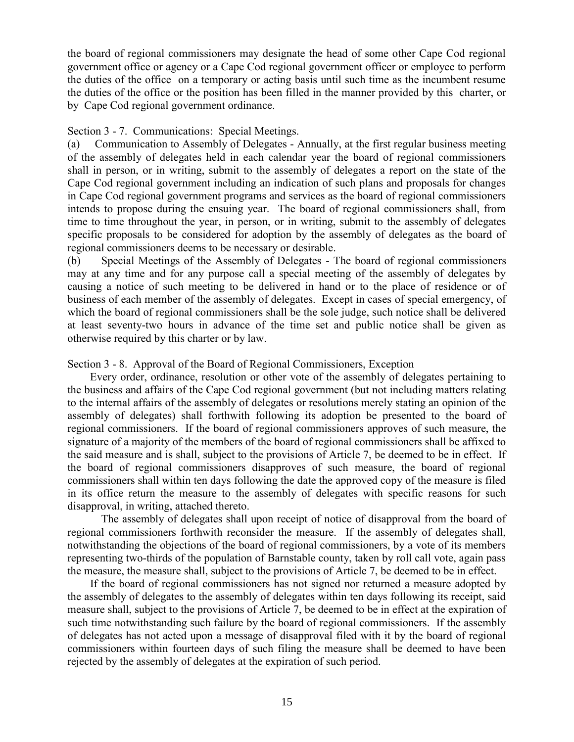the board of regional commissioners may designate the head of some other Cape Cod regional government office or agency or a Cape Cod regional government officer or employee to perform the duties of the office on a temporary or acting basis until such time as the incumbent resume the duties of the office or the position has been filled in the manner provided by this charter, or by Cape Cod regional government ordinance.

#### Section 3 - 7. Communications: Special Meetings.

(a) Communication to Assembly of Delegates - Annually, at the first regular business meeting of the assembly of delegates held in each calendar year the board of regional commissioners shall in person, or in writing, submit to the assembly of delegates a report on the state of the Cape Cod regional government including an indication of such plans and proposals for changes in Cape Cod regional government programs and services as the board of regional commissioners intends to propose during the ensuing year. The board of regional commissioners shall, from time to time throughout the year, in person, or in writing, submit to the assembly of delegates specific proposals to be considered for adoption by the assembly of delegates as the board of regional commissioners deems to be necessary or desirable.

(b) Special Meetings of the Assembly of Delegates - The board of regional commissioners may at any time and for any purpose call a special meeting of the assembly of delegates by causing a notice of such meeting to be delivered in hand or to the place of residence or of business of each member of the assembly of delegates. Except in cases of special emergency, of which the board of regional commissioners shall be the sole judge, such notice shall be delivered at least seventy-two hours in advance of the time set and public notice shall be given as otherwise required by this charter or by law.

#### Section 3 - 8. Approval of the Board of Regional Commissioners, Exception

 Every order, ordinance, resolution or other vote of the assembly of delegates pertaining to the business and affairs of the Cape Cod regional government (but not including matters relating to the internal affairs of the assembly of delegates or resolutions merely stating an opinion of the assembly of delegates) shall forthwith following its adoption be presented to the board of regional commissioners. If the board of regional commissioners approves of such measure, the signature of a majority of the members of the board of regional commissioners shall be affixed to the said measure and is shall, subject to the provisions of Article 7, be deemed to be in effect. If the board of regional commissioners disapproves of such measure, the board of regional commissioners shall within ten days following the date the approved copy of the measure is filed in its office return the measure to the assembly of delegates with specific reasons for such disapproval, in writing, attached thereto.

The assembly of delegates shall upon receipt of notice of disapproval from the board of regional commissioners forthwith reconsider the measure. If the assembly of delegates shall, notwithstanding the objections of the board of regional commissioners, by a vote of its members representing two-thirds of the population of Barnstable county, taken by roll call vote, again pass the measure, the measure shall, subject to the provisions of Article 7, be deemed to be in effect.

 If the board of regional commissioners has not signed nor returned a measure adopted by the assembly of delegates to the assembly of delegates within ten days following its receipt, said measure shall, subject to the provisions of Article 7, be deemed to be in effect at the expiration of such time notwithstanding such failure by the board of regional commissioners. If the assembly of delegates has not acted upon a message of disapproval filed with it by the board of regional commissioners within fourteen days of such filing the measure shall be deemed to have been rejected by the assembly of delegates at the expiration of such period.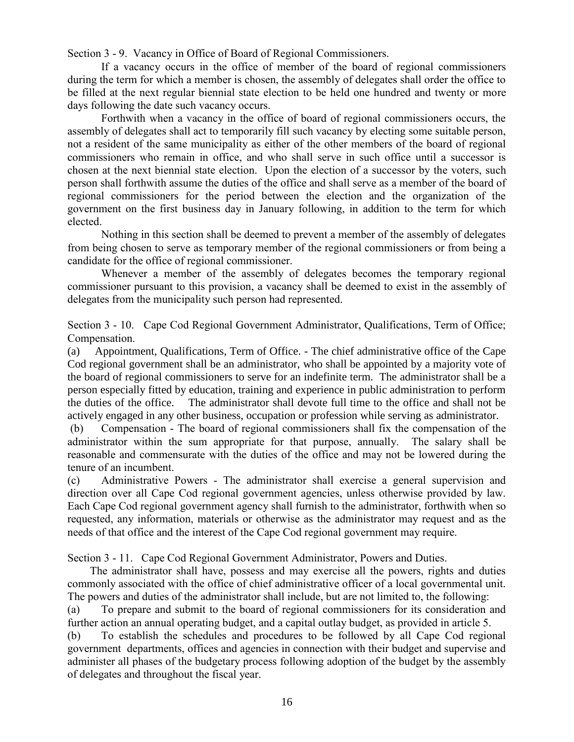Section 3 - 9. Vacancy in Office of Board of Regional Commissioners.

If a vacancy occurs in the office of member of the board of regional commissioners during the term for which a member is chosen, the assembly of delegates shall order the office to be filled at the next regular biennial state election to be held one hundred and twenty or more days following the date such vacancy occurs.

Forthwith when a vacancy in the office of board of regional commissioners occurs, the assembly of delegates shall act to temporarily fill such vacancy by electing some suitable person, not a resident of the same municipality as either of the other members of the board of regional commissioners who remain in office, and who shall serve in such office until a successor is chosen at the next biennial state election. Upon the election of a successor by the voters, such person shall forthwith assume the duties of the office and shall serve as a member of the board of regional commissioners for the period between the election and the organization of the government on the first business day in January following, in addition to the term for which elected.

Nothing in this section shall be deemed to prevent a member of the assembly of delegates from being chosen to serve as temporary member of the regional commissioners or from being a candidate for the office of regional commissioner.

Whenever a member of the assembly of delegates becomes the temporary regional commissioner pursuant to this provision, a vacancy shall be deemed to exist in the assembly of delegates from the municipality such person had represented.

Section 3 - 10. Cape Cod Regional Government Administrator, Qualifications, Term of Office; Compensation.

(a) Appointment, Qualifications, Term of Office. - The chief administrative office of the Cape Cod regional government shall be an administrator, who shall be appointed by a majority vote of the board of regional commissioners to serve for an indefinite term. The administrator shall be a person especially fitted by education, training and experience in public administration to perform the duties of the office. The administrator shall devote full time to the office and shall not be actively engaged in any other business, occupation or profession while serving as administrator.

(b) Compensation - The board of regional commissioners shall fix the compensation of the administrator within the sum appropriate for that purpose, annually. The salary shall be reasonable and commensurate with the duties of the office and may not be lowered during the tenure of an incumbent.

(c) Administrative Powers - The administrator shall exercise a general supervision and direction over all Cape Cod regional government agencies, unless otherwise provided by law. Each Cape Cod regional government agency shall furnish to the administrator, forthwith when so requested, any information, materials or otherwise as the administrator may request and as the needs of that office and the interest of the Cape Cod regional government may require.

Section 3 - 11. Cape Cod Regional Government Administrator, Powers and Duties.

 The administrator shall have, possess and may exercise all the powers, rights and duties commonly associated with the office of chief administrative officer of a local governmental unit. The powers and duties of the administrator shall include, but are not limited to, the following:

(a) To prepare and submit to the board of regional commissioners for its consideration and further action an annual operating budget, and a capital outlay budget, as provided in article 5.

(b) To establish the schedules and procedures to be followed by all Cape Cod regional government departments, offices and agencies in connection with their budget and supervise and administer all phases of the budgetary process following adoption of the budget by the assembly of delegates and throughout the fiscal year.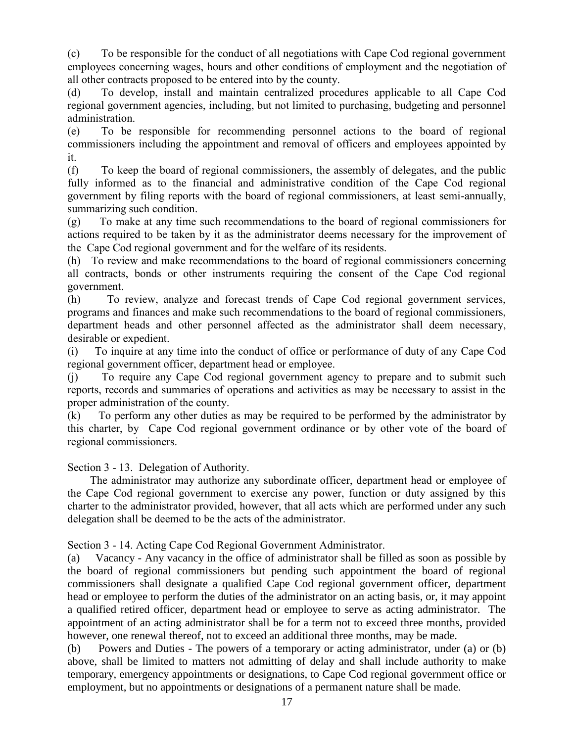(c) To be responsible for the conduct of all negotiations with Cape Cod regional government employees concerning wages, hours and other conditions of employment and the negotiation of all other contracts proposed to be entered into by the county.

(d) To develop, install and maintain centralized procedures applicable to all Cape Cod regional government agencies, including, but not limited to purchasing, budgeting and personnel administration.

(e) To be responsible for recommending personnel actions to the board of regional commissioners including the appointment and removal of officers and employees appointed by it.

(f) To keep the board of regional commissioners, the assembly of delegates, and the public fully informed as to the financial and administrative condition of the Cape Cod regional government by filing reports with the board of regional commissioners, at least semi-annually, summarizing such condition.

(g) To make at any time such recommendations to the board of regional commissioners for actions required to be taken by it as the administrator deems necessary for the improvement of the Cape Cod regional government and for the welfare of its residents.

(h) To review and make recommendations to the board of regional commissioners concerning all contracts, bonds or other instruments requiring the consent of the Cape Cod regional government.

(h) To review, analyze and forecast trends of Cape Cod regional government services, programs and finances and make such recommendations to the board of regional commissioners, department heads and other personnel affected as the administrator shall deem necessary, desirable or expedient.

(i) To inquire at any time into the conduct of office or performance of duty of any Cape Cod regional government officer, department head or employee.

(j) To require any Cape Cod regional government agency to prepare and to submit such reports, records and summaries of operations and activities as may be necessary to assist in the proper administration of the county.

(k) To perform any other duties as may be required to be performed by the administrator by this charter, by Cape Cod regional government ordinance or by other vote of the board of regional commissioners.

Section 3 - 13. Delegation of Authority.

 The administrator may authorize any subordinate officer, department head or employee of the Cape Cod regional government to exercise any power, function or duty assigned by this charter to the administrator provided, however, that all acts which are performed under any such delegation shall be deemed to be the acts of the administrator.

Section 3 - 14. Acting Cape Cod Regional Government Administrator.

(a) Vacancy - Any vacancy in the office of administrator shall be filled as soon as possible by the board of regional commissioners but pending such appointment the board of regional commissioners shall designate a qualified Cape Cod regional government officer, department head or employee to perform the duties of the administrator on an acting basis, or, it may appoint a qualified retired officer, department head or employee to serve as acting administrator. The appointment of an acting administrator shall be for a term not to exceed three months, provided however, one renewal thereof, not to exceed an additional three months, may be made.

(b) Powers and Duties - The powers of a temporary or acting administrator, under (a) or (b) above, shall be limited to matters not admitting of delay and shall include authority to make temporary, emergency appointments or designations, to Cape Cod regional government office or employment, but no appointments or designations of a permanent nature shall be made.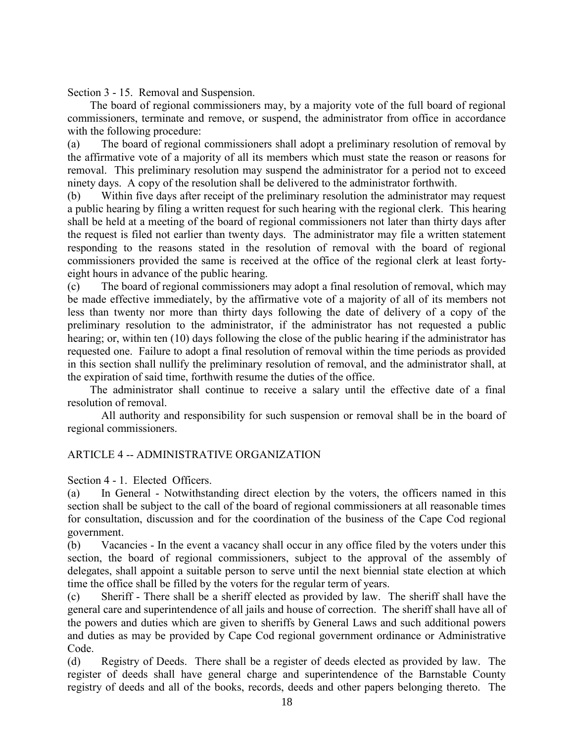Section 3 - 15. Removal and Suspension.

 The board of regional commissioners may, by a majority vote of the full board of regional commissioners, terminate and remove, or suspend, the administrator from office in accordance with the following procedure:

(a) The board of regional commissioners shall adopt a preliminary resolution of removal by the affirmative vote of a majority of all its members which must state the reason or reasons for removal. This preliminary resolution may suspend the administrator for a period not to exceed ninety days. A copy of the resolution shall be delivered to the administrator forthwith.

(b) Within five days after receipt of the preliminary resolution the administrator may request a public hearing by filing a written request for such hearing with the regional clerk. This hearing shall be held at a meeting of the board of regional commissioners not later than thirty days after the request is filed not earlier than twenty days. The administrator may file a written statement responding to the reasons stated in the resolution of removal with the board of regional commissioners provided the same is received at the office of the regional clerk at least fortyeight hours in advance of the public hearing.

(c) The board of regional commissioners may adopt a final resolution of removal, which may be made effective immediately, by the affirmative vote of a majority of all of its members not less than twenty nor more than thirty days following the date of delivery of a copy of the preliminary resolution to the administrator, if the administrator has not requested a public hearing; or, within ten (10) days following the close of the public hearing if the administrator has requested one. Failure to adopt a final resolution of removal within the time periods as provided in this section shall nullify the preliminary resolution of removal, and the administrator shall, at the expiration of said time, forthwith resume the duties of the office.

 The administrator shall continue to receive a salary until the effective date of a final resolution of removal.

All authority and responsibility for such suspension or removal shall be in the board of regional commissioners.

#### ARTICLE 4 -- ADMINISTRATIVE ORGANIZATION

Section 4 - 1. Elected Officers.

(a) In General - Notwithstanding direct election by the voters, the officers named in this section shall be subject to the call of the board of regional commissioners at all reasonable times for consultation, discussion and for the coordination of the business of the Cape Cod regional government.

(b) Vacancies - In the event a vacancy shall occur in any office filed by the voters under this section, the board of regional commissioners, subject to the approval of the assembly of delegates, shall appoint a suitable person to serve until the next biennial state election at which time the office shall be filled by the voters for the regular term of years.

(c) Sheriff - There shall be a sheriff elected as provided by law. The sheriff shall have the general care and superintendence of all jails and house of correction. The sheriff shall have all of the powers and duties which are given to sheriffs by General Laws and such additional powers and duties as may be provided by Cape Cod regional government ordinance or Administrative Code.

(d) Registry of Deeds. There shall be a register of deeds elected as provided by law. The register of deeds shall have general charge and superintendence of the Barnstable County registry of deeds and all of the books, records, deeds and other papers belonging thereto. The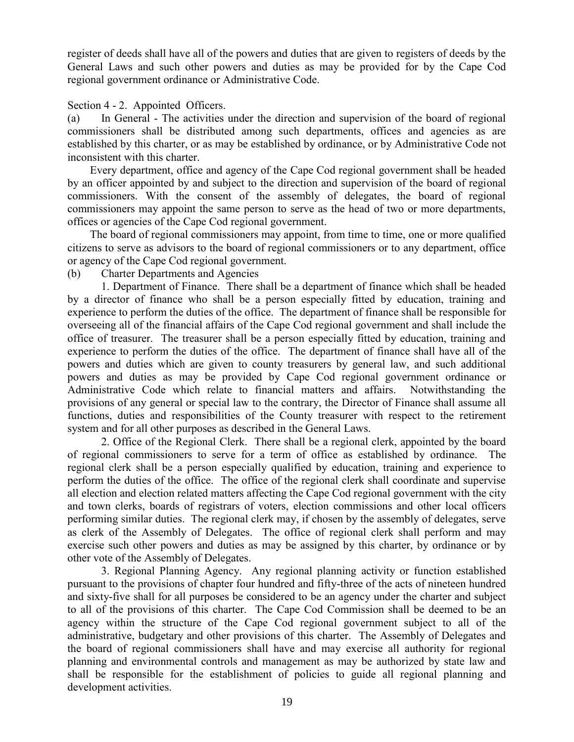register of deeds shall have all of the powers and duties that are given to registers of deeds by the General Laws and such other powers and duties as may be provided for by the Cape Cod regional government ordinance or Administrative Code.

#### Section 4 - 2. Appointed Officers.

(a) In General - The activities under the direction and supervision of the board of regional commissioners shall be distributed among such departments, offices and agencies as are established by this charter, or as may be established by ordinance, or by Administrative Code not inconsistent with this charter.

 Every department, office and agency of the Cape Cod regional government shall be headed by an officer appointed by and subject to the direction and supervision of the board of regional commissioners. With the consent of the assembly of delegates, the board of regional commissioners may appoint the same person to serve as the head of two or more departments, offices or agencies of the Cape Cod regional government.

 The board of regional commissioners may appoint, from time to time, one or more qualified citizens to serve as advisors to the board of regional commissioners or to any department, office or agency of the Cape Cod regional government.

(b) Charter Departments and Agencies

1. Department of Finance. There shall be a department of finance which shall be headed by a director of finance who shall be a person especially fitted by education, training and experience to perform the duties of the office. The department of finance shall be responsible for overseeing all of the financial affairs of the Cape Cod regional government and shall include the office of treasurer. The treasurer shall be a person especially fitted by education, training and experience to perform the duties of the office. The department of finance shall have all of the powers and duties which are given to county treasurers by general law, and such additional powers and duties as may be provided by Cape Cod regional government ordinance or Administrative Code which relate to financial matters and affairs. Notwithstanding the provisions of any general or special law to the contrary, the Director of Finance shall assume all functions, duties and responsibilities of the County treasurer with respect to the retirement system and for all other purposes as described in the General Laws.

2. Office of the Regional Clerk. There shall be a regional clerk, appointed by the board of regional commissioners to serve for a term of office as established by ordinance. The regional clerk shall be a person especially qualified by education, training and experience to perform the duties of the office. The office of the regional clerk shall coordinate and supervise all election and election related matters affecting the Cape Cod regional government with the city and town clerks, boards of registrars of voters, election commissions and other local officers performing similar duties. The regional clerk may, if chosen by the assembly of delegates, serve as clerk of the Assembly of Delegates. The office of regional clerk shall perform and may exercise such other powers and duties as may be assigned by this charter, by ordinance or by other vote of the Assembly of Delegates.

3. Regional Planning Agency. Any regional planning activity or function established pursuant to the provisions of chapter four hundred and fifty-three of the acts of nineteen hundred and sixty-five shall for all purposes be considered to be an agency under the charter and subject to all of the provisions of this charter. The Cape Cod Commission shall be deemed to be an agency within the structure of the Cape Cod regional government subject to all of the administrative, budgetary and other provisions of this charter. The Assembly of Delegates and the board of regional commissioners shall have and may exercise all authority for regional planning and environmental controls and management as may be authorized by state law and shall be responsible for the establishment of policies to guide all regional planning and development activities.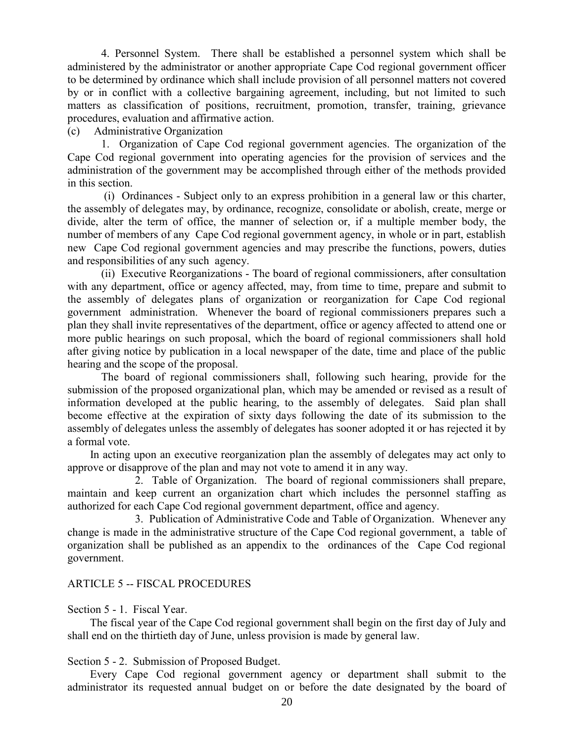4. Personnel System. There shall be established a personnel system which shall be administered by the administrator or another appropriate Cape Cod regional government officer to be determined by ordinance which shall include provision of all personnel matters not covered by or in conflict with a collective bargaining agreement, including, but not limited to such matters as classification of positions, recruitment, promotion, transfer, training, grievance procedures, evaluation and affirmative action.

#### (c) Administrative Organization

1. Organization of Cape Cod regional government agencies. The organization of the Cape Cod regional government into operating agencies for the provision of services and the administration of the government may be accomplished through either of the methods provided in this section.

(i) Ordinances - Subject only to an express prohibition in a general law or this charter, the assembly of delegates may, by ordinance, recognize, consolidate or abolish, create, merge or divide, alter the term of office, the manner of selection or, if a multiple member body, the number of members of any Cape Cod regional government agency, in whole or in part, establish new Cape Cod regional government agencies and may prescribe the functions, powers, duties and responsibilities of any such agency.

(ii) Executive Reorganizations - The board of regional commissioners, after consultation with any department, office or agency affected, may, from time to time, prepare and submit to the assembly of delegates plans of organization or reorganization for Cape Cod regional government administration. Whenever the board of regional commissioners prepares such a plan they shall invite representatives of the department, office or agency affected to attend one or more public hearings on such proposal, which the board of regional commissioners shall hold after giving notice by publication in a local newspaper of the date, time and place of the public hearing and the scope of the proposal.

The board of regional commissioners shall, following such hearing, provide for the submission of the proposed organizational plan, which may be amended or revised as a result of information developed at the public hearing, to the assembly of delegates. Said plan shall become effective at the expiration of sixty days following the date of its submission to the assembly of delegates unless the assembly of delegates has sooner adopted it or has rejected it by a formal vote.

 In acting upon an executive reorganization plan the assembly of delegates may act only to approve or disapprove of the plan and may not vote to amend it in any way.

2. Table of Organization. The board of regional commissioners shall prepare, maintain and keep current an organization chart which includes the personnel staffing as authorized for each Cape Cod regional government department, office and agency.

3. Publication of Administrative Code and Table of Organization. Whenever any change is made in the administrative structure of the Cape Cod regional government, a table of organization shall be published as an appendix to the ordinances of the Cape Cod regional government.

#### ARTICLE 5 -- FISCAL PROCEDURES

Section 5 - 1. Fiscal Year.

 The fiscal year of the Cape Cod regional government shall begin on the first day of July and shall end on the thirtieth day of June, unless provision is made by general law.

#### Section 5 - 2. Submission of Proposed Budget.

 Every Cape Cod regional government agency or department shall submit to the administrator its requested annual budget on or before the date designated by the board of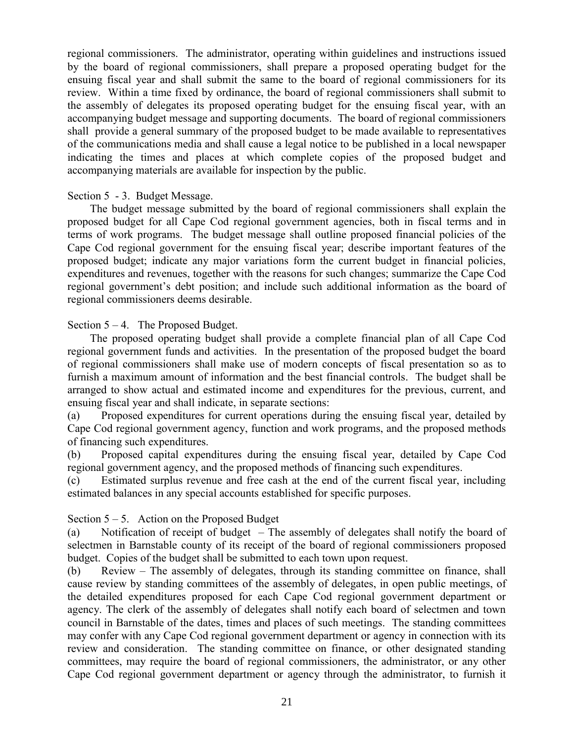regional commissioners. The administrator, operating within guidelines and instructions issued by the board of regional commissioners, shall prepare a proposed operating budget for the ensuing fiscal year and shall submit the same to the board of regional commissioners for its review. Within a time fixed by ordinance, the board of regional commissioners shall submit to the assembly of delegates its proposed operating budget for the ensuing fiscal year, with an accompanying budget message and supporting documents. The board of regional commissioners shall provide a general summary of the proposed budget to be made available to representatives of the communications media and shall cause a legal notice to be published in a local newspaper indicating the times and places at which complete copies of the proposed budget and accompanying materials are available for inspection by the public.

#### Section 5 - 3. Budget Message.

 The budget message submitted by the board of regional commissioners shall explain the proposed budget for all Cape Cod regional government agencies, both in fiscal terms and in terms of work programs. The budget message shall outline proposed financial policies of the Cape Cod regional government for the ensuing fiscal year; describe important features of the proposed budget; indicate any major variations form the current budget in financial policies, expenditures and revenues, together with the reasons for such changes; summarize the Cape Cod regional government's debt position; and include such additional information as the board of regional commissioners deems desirable.

#### Section  $5 - 4$ . The Proposed Budget.

 The proposed operating budget shall provide a complete financial plan of all Cape Cod regional government funds and activities. In the presentation of the proposed budget the board of regional commissioners shall make use of modern concepts of fiscal presentation so as to furnish a maximum amount of information and the best financial controls. The budget shall be arranged to show actual and estimated income and expenditures for the previous, current, and ensuing fiscal year and shall indicate, in separate sections:

(a) Proposed expenditures for current operations during the ensuing fiscal year, detailed by Cape Cod regional government agency, function and work programs, and the proposed methods of financing such expenditures.

(b) Proposed capital expenditures during the ensuing fiscal year, detailed by Cape Cod regional government agency, and the proposed methods of financing such expenditures.

(c) Estimated surplus revenue and free cash at the end of the current fiscal year, including estimated balances in any special accounts established for specific purposes.

#### Section  $5 - 5$ . Action on the Proposed Budget

(a) Notification of receipt of budget – The assembly of delegates shall notify the board of selectmen in Barnstable county of its receipt of the board of regional commissioners proposed budget. Copies of the budget shall be submitted to each town upon request.

(b) Review – The assembly of delegates, through its standing committee on finance, shall cause review by standing committees of the assembly of delegates, in open public meetings, of the detailed expenditures proposed for each Cape Cod regional government department or agency. The clerk of the assembly of delegates shall notify each board of selectmen and town council in Barnstable of the dates, times and places of such meetings. The standing committees may confer with any Cape Cod regional government department or agency in connection with its review and consideration. The standing committee on finance, or other designated standing committees, may require the board of regional commissioners, the administrator, or any other Cape Cod regional government department or agency through the administrator, to furnish it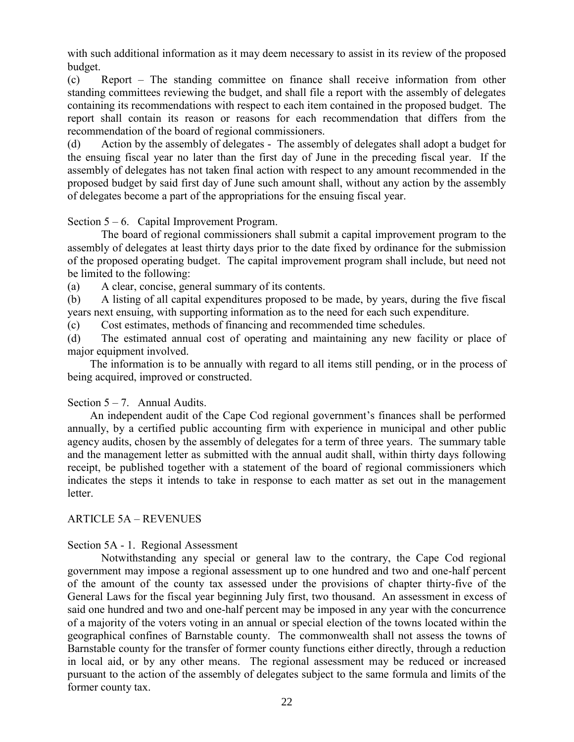with such additional information as it may deem necessary to assist in its review of the proposed budget.

(c) Report – The standing committee on finance shall receive information from other standing committees reviewing the budget, and shall file a report with the assembly of delegates containing its recommendations with respect to each item contained in the proposed budget. The report shall contain its reason or reasons for each recommendation that differs from the recommendation of the board of regional commissioners.

(d) Action by the assembly of delegates - The assembly of delegates shall adopt a budget for the ensuing fiscal year no later than the first day of June in the preceding fiscal year. If the assembly of delegates has not taken final action with respect to any amount recommended in the proposed budget by said first day of June such amount shall, without any action by the assembly of delegates become a part of the appropriations for the ensuing fiscal year.

Section  $5 - 6$ . Capital Improvement Program.

The board of regional commissioners shall submit a capital improvement program to the assembly of delegates at least thirty days prior to the date fixed by ordinance for the submission of the proposed operating budget. The capital improvement program shall include, but need not be limited to the following:

(a) A clear, concise, general summary of its contents.

(b) A listing of all capital expenditures proposed to be made, by years, during the five fiscal years next ensuing, with supporting information as to the need for each such expenditure.

(c) Cost estimates, methods of financing and recommended time schedules.

(d) The estimated annual cost of operating and maintaining any new facility or place of major equipment involved.

 The information is to be annually with regard to all items still pending, or in the process of being acquired, improved or constructed.

#### Section  $5 - 7$ . Annual Audits.

 An independent audit of the Cape Cod regional government's finances shall be performed annually, by a certified public accounting firm with experience in municipal and other public agency audits, chosen by the assembly of delegates for a term of three years. The summary table and the management letter as submitted with the annual audit shall, within thirty days following receipt, be published together with a statement of the board of regional commissioners which indicates the steps it intends to take in response to each matter as set out in the management letter.

#### ARTICLE 5A – REVENUES

#### Section 5A - 1. Regional Assessment

Notwithstanding any special or general law to the contrary, the Cape Cod regional government may impose a regional assessment up to one hundred and two and one-half percent of the amount of the county tax assessed under the provisions of chapter thirty-five of the General Laws for the fiscal year beginning July first, two thousand. An assessment in excess of said one hundred and two and one-half percent may be imposed in any year with the concurrence of a majority of the voters voting in an annual or special election of the towns located within the geographical confines of Barnstable county. The commonwealth shall not assess the towns of Barnstable county for the transfer of former county functions either directly, through a reduction in local aid, or by any other means. The regional assessment may be reduced or increased pursuant to the action of the assembly of delegates subject to the same formula and limits of the former county tax.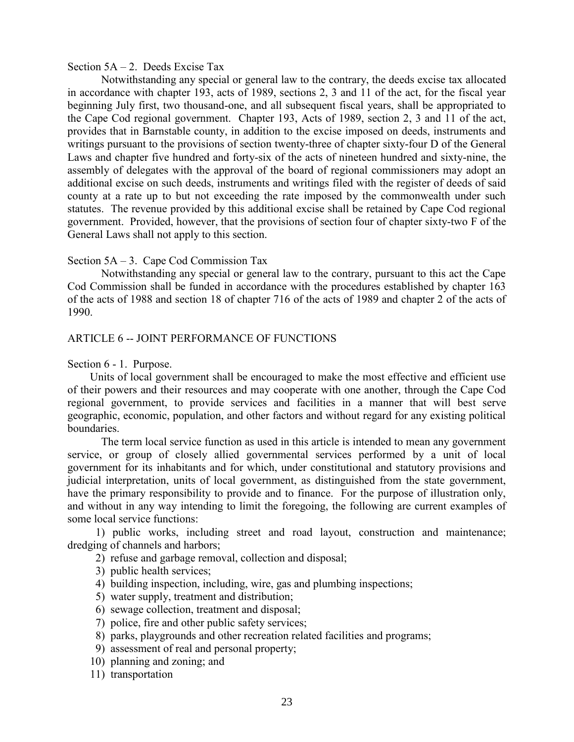#### Section  $5A - 2$ . Deeds Excise Tax

Notwithstanding any special or general law to the contrary, the deeds excise tax allocated in accordance with chapter 193, acts of 1989, sections 2, 3 and 11 of the act, for the fiscal year beginning July first, two thousand-one, and all subsequent fiscal years, shall be appropriated to the Cape Cod regional government. Chapter 193, Acts of 1989, section 2, 3 and 11 of the act, provides that in Barnstable county, in addition to the excise imposed on deeds, instruments and writings pursuant to the provisions of section twenty-three of chapter sixty-four D of the General Laws and chapter five hundred and forty-six of the acts of nineteen hundred and sixty-nine, the assembly of delegates with the approval of the board of regional commissioners may adopt an additional excise on such deeds, instruments and writings filed with the register of deeds of said county at a rate up to but not exceeding the rate imposed by the commonwealth under such statutes. The revenue provided by this additional excise shall be retained by Cape Cod regional government. Provided, however, that the provisions of section four of chapter sixty-two F of the General Laws shall not apply to this section.

#### Section 5A – 3. Cape Cod Commission Tax

Notwithstanding any special or general law to the contrary, pursuant to this act the Cape Cod Commission shall be funded in accordance with the procedures established by chapter 163 of the acts of 1988 and section 18 of chapter 716 of the acts of 1989 and chapter 2 of the acts of 1990.

#### ARTICLE 6 -- JOINT PERFORMANCE OF FUNCTIONS

Section 6 - 1. Purpose.

 Units of local government shall be encouraged to make the most effective and efficient use of their powers and their resources and may cooperate with one another, through the Cape Cod regional government, to provide services and facilities in a manner that will best serve geographic, economic, population, and other factors and without regard for any existing political boundaries.

The term local service function as used in this article is intended to mean any government service, or group of closely allied governmental services performed by a unit of local government for its inhabitants and for which, under constitutional and statutory provisions and judicial interpretation, units of local government, as distinguished from the state government, have the primary responsibility to provide and to finance. For the purpose of illustration only, and without in any way intending to limit the foregoing, the following are current examples of some local service functions:

 1) public works, including street and road layout, construction and maintenance; dredging of channels and harbors;

- 2) refuse and garbage removal, collection and disposal;
- 3) public health services;
- 4) building inspection, including, wire, gas and plumbing inspections;
- 5) water supply, treatment and distribution;
- 6) sewage collection, treatment and disposal;
- 7) police, fire and other public safety services;
- 8) parks, playgrounds and other recreation related facilities and programs;
- 9) assessment of real and personal property;
- 10) planning and zoning; and
- 11) transportation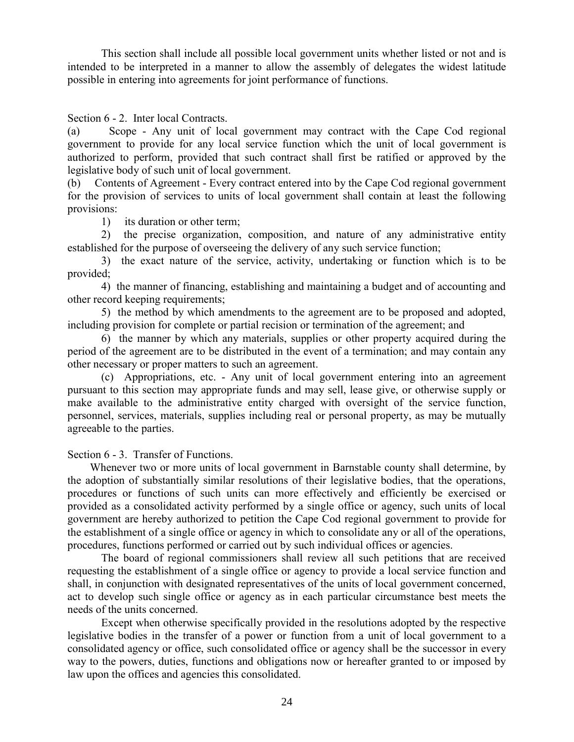This section shall include all possible local government units whether listed or not and is intended to be interpreted in a manner to allow the assembly of delegates the widest latitude possible in entering into agreements for joint performance of functions.

Section 6 - 2. Inter local Contracts.

(a) Scope - Any unit of local government may contract with the Cape Cod regional government to provide for any local service function which the unit of local government is authorized to perform, provided that such contract shall first be ratified or approved by the legislative body of such unit of local government.

(b) Contents of Agreement - Every contract entered into by the Cape Cod regional government for the provision of services to units of local government shall contain at least the following provisions:

1) its duration or other term;

2) the precise organization, composition, and nature of any administrative entity established for the purpose of overseeing the delivery of any such service function;

3) the exact nature of the service, activity, undertaking or function which is to be provided;

4) the manner of financing, establishing and maintaining a budget and of accounting and other record keeping requirements;

5) the method by which amendments to the agreement are to be proposed and adopted, including provision for complete or partial recision or termination of the agreement; and

6) the manner by which any materials, supplies or other property acquired during the period of the agreement are to be distributed in the event of a termination; and may contain any other necessary or proper matters to such an agreement.

(c) Appropriations, etc. - Any unit of local government entering into an agreement pursuant to this section may appropriate funds and may sell, lease give, or otherwise supply or make available to the administrative entity charged with oversight of the service function, personnel, services, materials, supplies including real or personal property, as may be mutually agreeable to the parties.

Section  $6 - 3$ . Transfer of Functions.

 Whenever two or more units of local government in Barnstable county shall determine, by the adoption of substantially similar resolutions of their legislative bodies, that the operations, procedures or functions of such units can more effectively and efficiently be exercised or provided as a consolidated activity performed by a single office or agency, such units of local government are hereby authorized to petition the Cape Cod regional government to provide for the establishment of a single office or agency in which to consolidate any or all of the operations, procedures, functions performed or carried out by such individual offices or agencies.

The board of regional commissioners shall review all such petitions that are received requesting the establishment of a single office or agency to provide a local service function and shall, in conjunction with designated representatives of the units of local government concerned, act to develop such single office or agency as in each particular circumstance best meets the needs of the units concerned.

Except when otherwise specifically provided in the resolutions adopted by the respective legislative bodies in the transfer of a power or function from a unit of local government to a consolidated agency or office, such consolidated office or agency shall be the successor in every way to the powers, duties, functions and obligations now or hereafter granted to or imposed by law upon the offices and agencies this consolidated.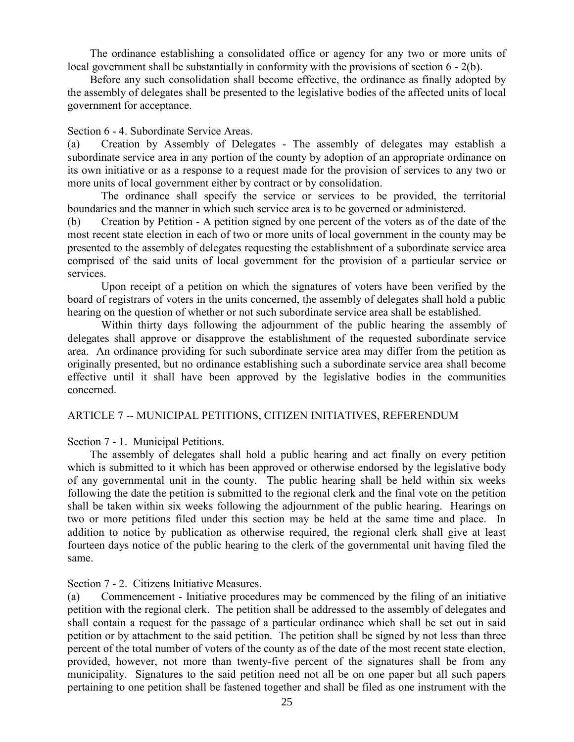The ordinance establishing a consolidated office or agency for any two or more units of local government shall be substantially in conformity with the provisions of section 6 - 2(b).

 Before any such consolidation shall become effective, the ordinance as finally adopted by the assembly of delegates shall be presented to the legislative bodies of the affected units of local government for acceptance.

#### Section 6 - 4. Subordinate Service Areas.

(a) Creation by Assembly of Delegates - The assembly of delegates may establish a subordinate service area in any portion of the county by adoption of an appropriate ordinance on its own initiative or as a response to a request made for the provision of services to any two or more units of local government either by contract or by consolidation.

The ordinance shall specify the service or services to be provided, the territorial boundaries and the manner in which such service area is to be governed or administered.

(b) Creation by Petition - A petition signed by one percent of the voters as of the date of the most recent state election in each of two or more units of local government in the county may be presented to the assembly of delegates requesting the establishment of a subordinate service area comprised of the said units of local government for the provision of a particular service or services.

Upon receipt of a petition on which the signatures of voters have been verified by the board of registrars of voters in the units concerned, the assembly of delegates shall hold a public hearing on the question of whether or not such subordinate service area shall be established.

Within thirty days following the adjournment of the public hearing the assembly of delegates shall approve or disapprove the establishment of the requested subordinate service area. An ordinance providing for such subordinate service area may differ from the petition as originally presented, but no ordinance establishing such a subordinate service area shall become effective until it shall have been approved by the legislative bodies in the communities concerned.

#### ARTICLE 7 -- MUNICIPAL PETITIONS, CITIZEN INITIATIVES, REFERENDUM

Section 7 - 1. Municipal Petitions.

 The assembly of delegates shall hold a public hearing and act finally on every petition which is submitted to it which has been approved or otherwise endorsed by the legislative body of any governmental unit in the county. The public hearing shall be held within six weeks following the date the petition is submitted to the regional clerk and the final vote on the petition shall be taken within six weeks following the adjournment of the public hearing. Hearings on two or more petitions filed under this section may be held at the same time and place. In addition to notice by publication as otherwise required, the regional clerk shall give at least fourteen days notice of the public hearing to the clerk of the governmental unit having filed the same.

Section 7 - 2. Citizens Initiative Measures.

(a) Commencement - Initiative procedures may be commenced by the filing of an initiative petition with the regional clerk. The petition shall be addressed to the assembly of delegates and shall contain a request for the passage of a particular ordinance which shall be set out in said petition or by attachment to the said petition. The petition shall be signed by not less than three percent of the total number of voters of the county as of the date of the most recent state election, provided, however, not more than twenty-five percent of the signatures shall be from any municipality. Signatures to the said petition need not all be on one paper but all such papers pertaining to one petition shall be fastened together and shall be filed as one instrument with the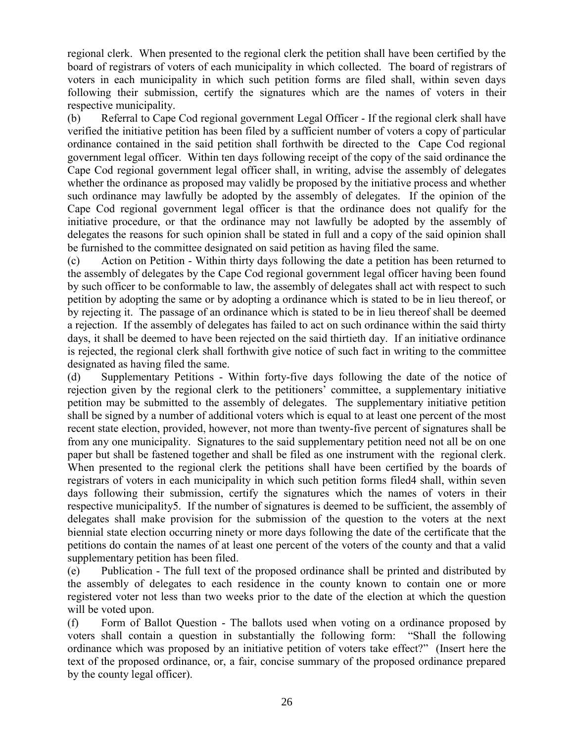regional clerk. When presented to the regional clerk the petition shall have been certified by the board of registrars of voters of each municipality in which collected. The board of registrars of voters in each municipality in which such petition forms are filed shall, within seven days following their submission, certify the signatures which are the names of voters in their respective municipality.

(b) Referral to Cape Cod regional government Legal Officer - If the regional clerk shall have verified the initiative petition has been filed by a sufficient number of voters a copy of particular ordinance contained in the said petition shall forthwith be directed to the Cape Cod regional government legal officer. Within ten days following receipt of the copy of the said ordinance the Cape Cod regional government legal officer shall, in writing, advise the assembly of delegates whether the ordinance as proposed may validly be proposed by the initiative process and whether such ordinance may lawfully be adopted by the assembly of delegates. If the opinion of the Cape Cod regional government legal officer is that the ordinance does not qualify for the initiative procedure, or that the ordinance may not lawfully be adopted by the assembly of delegates the reasons for such opinion shall be stated in full and a copy of the said opinion shall be furnished to the committee designated on said petition as having filed the same.

(c) Action on Petition - Within thirty days following the date a petition has been returned to the assembly of delegates by the Cape Cod regional government legal officer having been found by such officer to be conformable to law, the assembly of delegates shall act with respect to such petition by adopting the same or by adopting a ordinance which is stated to be in lieu thereof, or by rejecting it. The passage of an ordinance which is stated to be in lieu thereof shall be deemed a rejection. If the assembly of delegates has failed to act on such ordinance within the said thirty days, it shall be deemed to have been rejected on the said thirtieth day. If an initiative ordinance is rejected, the regional clerk shall forthwith give notice of such fact in writing to the committee designated as having filed the same.

(d) Supplementary Petitions - Within forty-five days following the date of the notice of rejection given by the regional clerk to the petitioners' committee, a supplementary initiative petition may be submitted to the assembly of delegates. The supplementary initiative petition shall be signed by a number of additional voters which is equal to at least one percent of the most recent state election, provided, however, not more than twenty-five percent of signatures shall be from any one municipality. Signatures to the said supplementary petition need not all be on one paper but shall be fastened together and shall be filed as one instrument with the regional clerk. When presented to the regional clerk the petitions shall have been certified by the boards of registrars of voters in each municipality in which such petition forms filed4 shall, within seven days following their submission, certify the signatures which the names of voters in their respective municipality5. If the number of signatures is deemed to be sufficient, the assembly of delegates shall make provision for the submission of the question to the voters at the next biennial state election occurring ninety or more days following the date of the certificate that the petitions do contain the names of at least one percent of the voters of the county and that a valid supplementary petition has been filed.

(e) Publication - The full text of the proposed ordinance shall be printed and distributed by the assembly of delegates to each residence in the county known to contain one or more registered voter not less than two weeks prior to the date of the election at which the question will be voted upon.

(f) Form of Ballot Question - The ballots used when voting on a ordinance proposed by voters shall contain a question in substantially the following form: "Shall the following ordinance which was proposed by an initiative petition of voters take effect?" (Insert here the text of the proposed ordinance, or, a fair, concise summary of the proposed ordinance prepared by the county legal officer).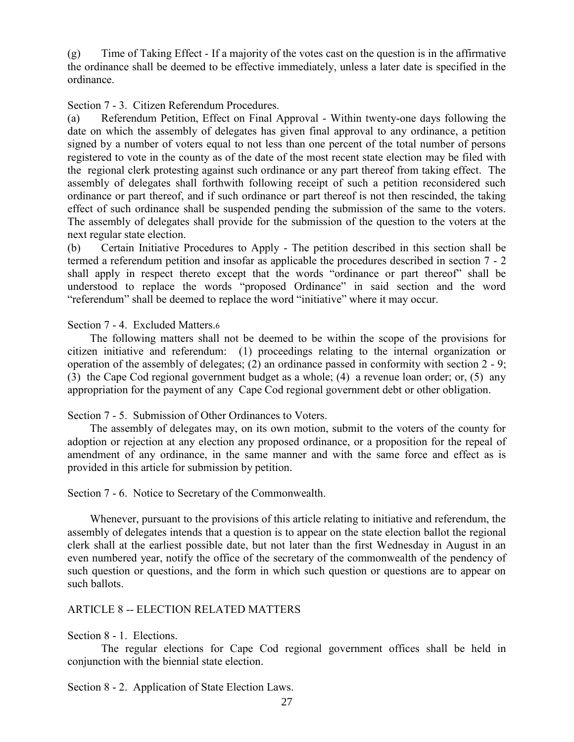(g) Time of Taking Effect - If a majority of the votes cast on the question is in the affirmative the ordinance shall be deemed to be effective immediately, unless a later date is specified in the ordinance.

Section 7 - 3. Citizen Referendum Procedures.

(a) Referendum Petition, Effect on Final Approval - Within twenty-one days following the date on which the assembly of delegates has given final approval to any ordinance, a petition signed by a number of voters equal to not less than one percent of the total number of persons registered to vote in the county as of the date of the most recent state election may be filed with the regional clerk protesting against such ordinance or any part thereof from taking effect. The assembly of delegates shall forthwith following receipt of such a petition reconsidered such ordinance or part thereof, and if such ordinance or part thereof is not then rescinded, the taking effect of such ordinance shall be suspended pending the submission of the same to the voters. The assembly of delegates shall provide for the submission of the question to the voters at the next regular state election.

(b) Certain Initiative Procedures to Apply - The petition described in this section shall be termed a referendum petition and insofar as applicable the procedures described in section 7 - 2 shall apply in respect thereto except that the words "ordinance or part thereof" shall be understood to replace the words "proposed Ordinance" in said section and the word "referendum" shall be deemed to replace the word "initiative" where it may occur.

Section 7 - 4. Excluded Matters.6

 The following matters shall not be deemed to be within the scope of the provisions for citizen initiative and referendum: (1) proceedings relating to the internal organization or operation of the assembly of delegates; (2) an ordinance passed in conformity with section 2 - 9; (3) the Cape Cod regional government budget as a whole; (4) a revenue loan order; or, (5) any appropriation for the payment of any Cape Cod regional government debt or other obligation.

Section 7 - 5. Submission of Other Ordinances to Voters.

 The assembly of delegates may, on its own motion, submit to the voters of the county for adoption or rejection at any election any proposed ordinance, or a proposition for the repeal of amendment of any ordinance, in the same manner and with the same force and effect as is provided in this article for submission by petition.

Section 7 - 6. Notice to Secretary of the Commonwealth.

 Whenever, pursuant to the provisions of this article relating to initiative and referendum, the assembly of delegates intends that a question is to appear on the state election ballot the regional clerk shall at the earliest possible date, but not later than the first Wednesday in August in an even numbered year, notify the office of the secretary of the commonwealth of the pendency of such question or questions, and the form in which such question or questions are to appear on such ballots.

#### ARTICLE 8 -- ELECTION RELATED MATTERS

Section 8 - 1. Elections.

The regular elections for Cape Cod regional government offices shall be held in conjunction with the biennial state election.

Section 8 - 2. Application of State Election Laws.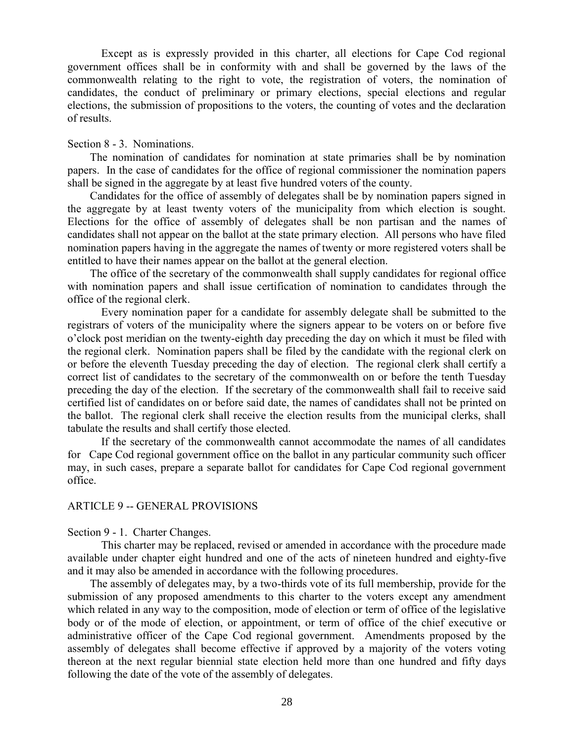Except as is expressly provided in this charter, all elections for Cape Cod regional government offices shall be in conformity with and shall be governed by the laws of the commonwealth relating to the right to vote, the registration of voters, the nomination of candidates, the conduct of preliminary or primary elections, special elections and regular elections, the submission of propositions to the voters, the counting of votes and the declaration of results.

#### Section 8 - 3. Nominations.

 The nomination of candidates for nomination at state primaries shall be by nomination papers. In the case of candidates for the office of regional commissioner the nomination papers shall be signed in the aggregate by at least five hundred voters of the county.

 Candidates for the office of assembly of delegates shall be by nomination papers signed in the aggregate by at least twenty voters of the municipality from which election is sought. Elections for the office of assembly of delegates shall be non partisan and the names of candidates shall not appear on the ballot at the state primary election. All persons who have filed nomination papers having in the aggregate the names of twenty or more registered voters shall be entitled to have their names appear on the ballot at the general election.

 The office of the secretary of the commonwealth shall supply candidates for regional office with nomination papers and shall issue certification of nomination to candidates through the office of the regional clerk.

Every nomination paper for a candidate for assembly delegate shall be submitted to the registrars of voters of the municipality where the signers appear to be voters on or before five o'clock post meridian on the twenty-eighth day preceding the day on which it must be filed with the regional clerk. Nomination papers shall be filed by the candidate with the regional clerk on or before the eleventh Tuesday preceding the day of election. The regional clerk shall certify a correct list of candidates to the secretary of the commonwealth on or before the tenth Tuesday preceding the day of the election. If the secretary of the commonwealth shall fail to receive said certified list of candidates on or before said date, the names of candidates shall not be printed on the ballot. The regional clerk shall receive the election results from the municipal clerks, shall tabulate the results and shall certify those elected.

If the secretary of the commonwealth cannot accommodate the names of all candidates for Cape Cod regional government office on the ballot in any particular community such officer may, in such cases, prepare a separate ballot for candidates for Cape Cod regional government office.

#### ARTICLE 9 -- GENERAL PROVISIONS

Section 9 - 1. Charter Changes.

This charter may be replaced, revised or amended in accordance with the procedure made available under chapter eight hundred and one of the acts of nineteen hundred and eighty-five and it may also be amended in accordance with the following procedures.

 The assembly of delegates may, by a two-thirds vote of its full membership, provide for the submission of any proposed amendments to this charter to the voters except any amendment which related in any way to the composition, mode of election or term of office of the legislative body or of the mode of election, or appointment, or term of office of the chief executive or administrative officer of the Cape Cod regional government. Amendments proposed by the assembly of delegates shall become effective if approved by a majority of the voters voting thereon at the next regular biennial state election held more than one hundred and fifty days following the date of the vote of the assembly of delegates.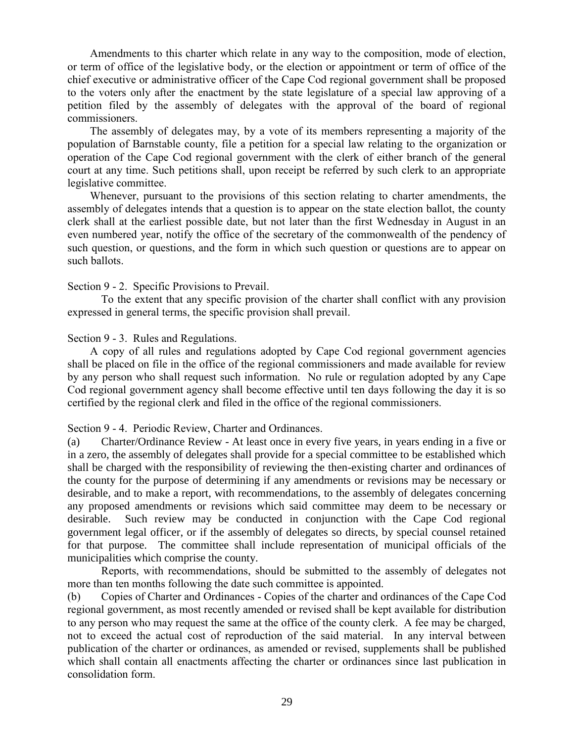Amendments to this charter which relate in any way to the composition, mode of election, or term of office of the legislative body, or the election or appointment or term of office of the chief executive or administrative officer of the Cape Cod regional government shall be proposed to the voters only after the enactment by the state legislature of a special law approving of a petition filed by the assembly of delegates with the approval of the board of regional commissioners.

 The assembly of delegates may, by a vote of its members representing a majority of the population of Barnstable county, file a petition for a special law relating to the organization or operation of the Cape Cod regional government with the clerk of either branch of the general court at any time. Such petitions shall, upon receipt be referred by such clerk to an appropriate legislative committee.

 Whenever, pursuant to the provisions of this section relating to charter amendments, the assembly of delegates intends that a question is to appear on the state election ballot, the county clerk shall at the earliest possible date, but not later than the first Wednesday in August in an even numbered year, notify the office of the secretary of the commonwealth of the pendency of such question, or questions, and the form in which such question or questions are to appear on such ballots.

#### Section 9 - 2. Specific Provisions to Prevail.

To the extent that any specific provision of the charter shall conflict with any provision expressed in general terms, the specific provision shall prevail.

#### Section 9 - 3. Rules and Regulations.

 A copy of all rules and regulations adopted by Cape Cod regional government agencies shall be placed on file in the office of the regional commissioners and made available for review by any person who shall request such information. No rule or regulation adopted by any Cape Cod regional government agency shall become effective until ten days following the day it is so certified by the regional clerk and filed in the office of the regional commissioners.

#### Section 9 - 4. Periodic Review, Charter and Ordinances.

(a) Charter/Ordinance Review - At least once in every five years, in years ending in a five or in a zero, the assembly of delegates shall provide for a special committee to be established which shall be charged with the responsibility of reviewing the then-existing charter and ordinances of the county for the purpose of determining if any amendments or revisions may be necessary or desirable, and to make a report, with recommendations, to the assembly of delegates concerning any proposed amendments or revisions which said committee may deem to be necessary or desirable. Such review may be conducted in conjunction with the Cape Cod regional government legal officer, or if the assembly of delegates so directs, by special counsel retained for that purpose. The committee shall include representation of municipal officials of the municipalities which comprise the county.

Reports, with recommendations, should be submitted to the assembly of delegates not more than ten months following the date such committee is appointed.

(b) Copies of Charter and Ordinances - Copies of the charter and ordinances of the Cape Cod regional government, as most recently amended or revised shall be kept available for distribution to any person who may request the same at the office of the county clerk. A fee may be charged, not to exceed the actual cost of reproduction of the said material. In any interval between publication of the charter or ordinances, as amended or revised, supplements shall be published which shall contain all enactments affecting the charter or ordinances since last publication in consolidation form.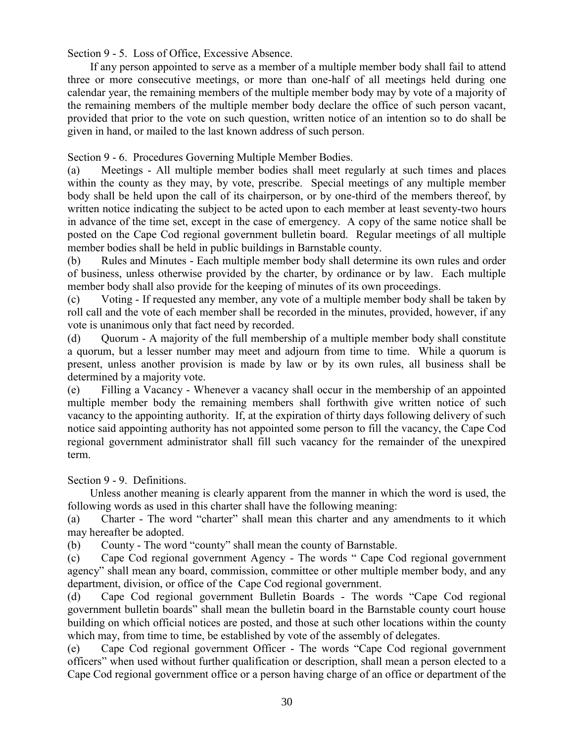Section 9 - 5. Loss of Office, Excessive Absence.

 If any person appointed to serve as a member of a multiple member body shall fail to attend three or more consecutive meetings, or more than one-half of all meetings held during one calendar year, the remaining members of the multiple member body may by vote of a majority of the remaining members of the multiple member body declare the office of such person vacant, provided that prior to the vote on such question, written notice of an intention so to do shall be given in hand, or mailed to the last known address of such person.

Section 9 - 6. Procedures Governing Multiple Member Bodies.

(a) Meetings - All multiple member bodies shall meet regularly at such times and places within the county as they may, by vote, prescribe. Special meetings of any multiple member body shall be held upon the call of its chairperson, or by one-third of the members thereof, by written notice indicating the subject to be acted upon to each member at least seventy-two hours in advance of the time set, except in the case of emergency. A copy of the same notice shall be posted on the Cape Cod regional government bulletin board. Regular meetings of all multiple member bodies shall be held in public buildings in Barnstable county.

(b) Rules and Minutes - Each multiple member body shall determine its own rules and order of business, unless otherwise provided by the charter, by ordinance or by law. Each multiple member body shall also provide for the keeping of minutes of its own proceedings.

(c) Voting - If requested any member, any vote of a multiple member body shall be taken by roll call and the vote of each member shall be recorded in the minutes, provided, however, if any vote is unanimous only that fact need by recorded.

(d) Ouorum - A majority of the full membership of a multiple member body shall constitute a quorum, but a lesser number may meet and adjourn from time to time. While a quorum is present, unless another provision is made by law or by its own rules, all business shall be determined by a majority vote.

(e) Filling a Vacancy - Whenever a vacancy shall occur in the membership of an appointed multiple member body the remaining members shall forthwith give written notice of such vacancy to the appointing authority. If, at the expiration of thirty days following delivery of such notice said appointing authority has not appointed some person to fill the vacancy, the Cape Cod regional government administrator shall fill such vacancy for the remainder of the unexpired term.

Section 9 - 9. Definitions.

 Unless another meaning is clearly apparent from the manner in which the word is used, the following words as used in this charter shall have the following meaning:

(a) Charter - The word "charter" shall mean this charter and any amendments to it which may hereafter be adopted.

(b) County - The word "county" shall mean the county of Barnstable.

(c) Cape Cod regional government Agency - The words " Cape Cod regional government agency" shall mean any board, commission, committee or other multiple member body, and any department, division, or office of the Cape Cod regional government.

(d) Cape Cod regional government Bulletin Boards - The words "Cape Cod regional government bulletin boards" shall mean the bulletin board in the Barnstable county court house building on which official notices are posted, and those at such other locations within the county which may, from time to time, be established by vote of the assembly of delegates.

(e) Cape Cod regional government Officer - The words "Cape Cod regional government officers" when used without further qualification or description, shall mean a person elected to a Cape Cod regional government office or a person having charge of an office or department of the